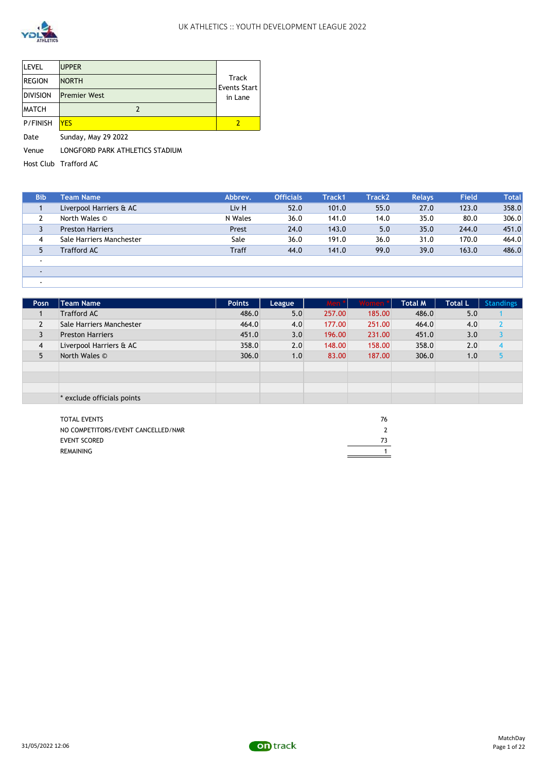

| <b>LEVEL</b>    | <b>UPPER</b>        |                       |
|-----------------|---------------------|-----------------------|
| <b>REGION</b>   | <b>NORTH</b>        | Track<br>Events Start |
| <b>DIVISION</b> | <b>Premier West</b> | in Lane               |
| <b>MATCH</b>    |                     |                       |
| P/FINISH        | <b>YES</b>          |                       |
|                 |                     |                       |

Date Sunday, May 29 2022

Venue LONGFORD PARK ATHLETICS STADIUM

Host Club Trafford AC

| <b>Bib</b> | <b>Team Name</b>         | Abbrev.      | <b>Officials</b> | Track1 | Track <sub>2</sub> | <b>Relays</b> | Field | <b>Total</b> |
|------------|--------------------------|--------------|------------------|--------|--------------------|---------------|-------|--------------|
|            | Liverpool Harriers & AC  | Liv H        | 52.0             | 101.0  | 55.0               | 27.0          | 123.0 | 358.0        |
|            | North Wales ©            | N Wales      | 36.0             | 141.0  | 14.0               | 35.0          | 80.0  | 306.0        |
| 3          | <b>Preston Harriers</b>  | Prest        | 24.0             | 143.0  | 5.0                | 35.0          | 244.0 | 451.0        |
| 4          | Sale Harriers Manchester | Sale         | 36.0             | 191.0  | 36.0               | 31.0          | 170.0 | 464.0        |
| 5          | <b>Trafford AC</b>       | <b>Traff</b> | 44.0             | 141.0  | 99.0               | 39.0          | 163.0 | 486.0        |
|            |                          |              |                  |        |                    |               |       |              |
|            |                          |              |                  |        |                    |               |       |              |
|            |                          |              |                  |        |                    |               |       |              |

| Posn           | <b>Team Name</b>           | <b>Points</b> | League | Men    | Women * | <b>Total M</b> | <b>Total L</b> | <b>Standings</b> |
|----------------|----------------------------|---------------|--------|--------|---------|----------------|----------------|------------------|
|                | <b>Trafford AC</b>         | 486.0         | 5.0    | 257.00 | 185.00  | 486.0          | 5.0            |                  |
|                | Sale Harriers Manchester   | 464.0         | 4.0    | 177.00 | 251.00  | 464.0          | 4.0            |                  |
|                | <b>Preston Harriers</b>    | 451.0         | 3.0    | 196.00 | 231.00  | 451.0          | 3.0            |                  |
| $\overline{4}$ | Liverpool Harriers & AC    | 358.0         | 2.0    | 148.00 | 158.00  | 358.0          | 2.0            |                  |
| 5              | North Wales ©              | 306.0         | 1.0    | 83.00  | 187.00  | 306.0          | 1.0            |                  |
|                |                            |               |        |        |         |                |                |                  |
|                |                            |               |        |        |         |                |                |                  |
|                |                            |               |        |        |         |                |                |                  |
|                | * exclude officials points |               |        |        |         |                |                |                  |

| <b>TOTAL EVENTS</b>                | 76 |
|------------------------------------|----|
| NO COMPETITORS/EVENT CANCELLED/NMR |    |
| EVENT SCORED                       |    |
| REMAINING                          |    |
|                                    |    |

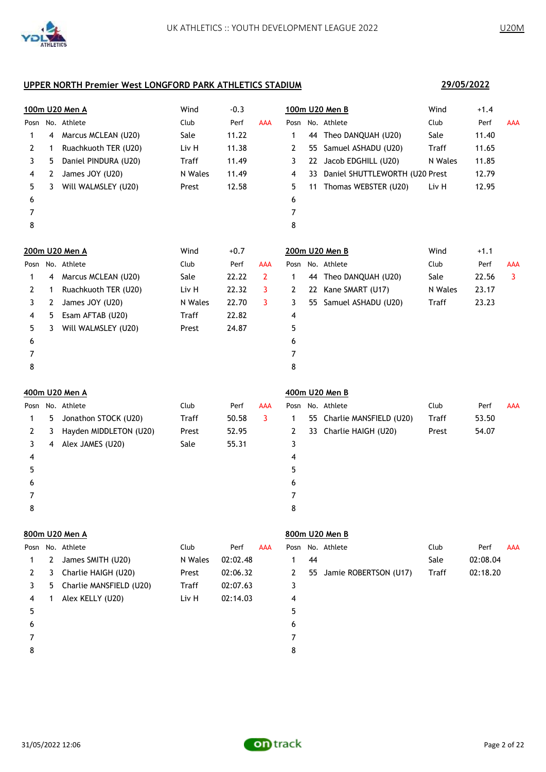5 7 8

|   |    | <u>100m U20 Men A</u>   | Wind    | $-0.3$   |              |      |    | 100m U20 Men B                 | Wind         | $+1.4$   |            |
|---|----|-------------------------|---------|----------|--------------|------|----|--------------------------------|--------------|----------|------------|
|   |    | Posn No. Athlete        | Club    | Perf     | <b>AAA</b>   |      |    | Posn No. Athlete               | Club         | Perf     | <b>AAA</b> |
| 1 | 4  | Marcus MCLEAN (U20)     | Sale    | 11.22    |              | 1    |    | 44 Theo DANQUAH (U20)          | Sale         | 11.40    |            |
| 2 | 1  | Ruachkuoth TER (U20)    | Liv H   | 11.38    |              | 2    |    | 55 Samuel ASHADU (U20)         | Traff        | 11.65    |            |
| 3 | 5. | Daniel PINDURA (U20)    | Traff   | 11.49    |              | 3    |    | 22 Jacob EDGHILL (U20)         | N Wales      | 11.85    |            |
| 4 | 2  | James JOY (U20)         | N Wales | 11.49    |              | 4    | 33 | Daniel SHUTTLEWORTH (U20 Prest |              | 12.79    |            |
| 5 | 3  | Will WALMSLEY (U20)     | Prest   | 12.58    |              | 5    |    | 11 Thomas WEBSTER (U20)        | Liv H        | 12.95    |            |
| 6 |    |                         |         |          |              | 6    |    |                                |              |          |            |
| 7 |    |                         |         |          |              | 7    |    |                                |              |          |            |
| 8 |    |                         |         |          |              | 8    |    |                                |              |          |            |
|   |    | 200m U20 Men A          | Wind    | $+0.7$   |              |      |    | 200m U20 Men B                 | Wind         | $+1.1$   |            |
|   |    | Posn No. Athlete        | Club    | Perf     | <b>AAA</b>   |      |    | Posn No. Athlete               | Club         | Perf     | <b>AAA</b> |
| 1 | 4  | Marcus MCLEAN (U20)     | Sale    | 22.22    | $\mathbf{2}$ | 1    |    | 44 Theo DANQUAH (U20)          | Sale         | 22.56    | 3          |
| 2 | 1  | Ruachkuoth TER (U20)    | Liv H   | 22.32    | 3            | 2    |    | 22 Kane SMART (U17)            | N Wales      | 23.17    |            |
| 3 | 2  | James JOY (U20)         | N Wales | 22.70    | 3            | 3    |    | 55 Samuel ASHADU (U20)         | Traff        | 23.23    |            |
| 4 | 5  | Esam AFTAB (U20)        | Traff   | 22.82    |              | 4    |    |                                |              |          |            |
| 5 | 3  | Will WALMSLEY (U20)     | Prest   | 24.87    |              | 5    |    |                                |              |          |            |
| 6 |    |                         |         |          |              | 6    |    |                                |              |          |            |
| 7 |    |                         |         |          |              | 7    |    |                                |              |          |            |
| 8 |    |                         |         |          |              | 8    |    |                                |              |          |            |
|   |    | 400m U20 Men A          |         |          |              |      |    | 400m U20 Men B                 |              |          |            |
|   |    | Posn No. Athlete        | Club    | Perf     | <b>AAA</b>   | Posn |    | No. Athlete                    | Club         | Perf     | <b>AAA</b> |
| 1 | 5. | Jonathon STOCK (U20)    | Traff   | 50.58    | 3            | 1    |    | 55 Charlie MANSFIELD (U20)     | Traff        | 53.50    |            |
| 2 | 3  | Hayden MIDDLETON (U20)  | Prest   | 52.95    |              | 2    |    | 33 Charlie HAIGH (U20)         | Prest        | 54.07    |            |
| 3 | 4  | Alex JAMES (U20)        | Sale    | 55.31    |              | 3    |    |                                |              |          |            |
| 4 |    |                         |         |          |              | 4    |    |                                |              |          |            |
| 5 |    |                         |         |          |              | 5    |    |                                |              |          |            |
| 6 |    |                         |         |          |              | 6    |    |                                |              |          |            |
| 7 |    |                         |         |          |              | 7    |    |                                |              |          |            |
| 8 |    |                         |         |          |              | 8    |    |                                |              |          |            |
|   |    | 800m U20 Men A          |         |          |              |      |    | 800m U20 Men B                 |              |          |            |
|   |    | Posn No. Athlete        | Club    | Perf     | <b>AAA</b>   | Posn |    | No. Athlete                    | Club         | Perf     | <b>AAA</b> |
| 1 | 2  | James SMITH (U20)       | N Wales | 02:02.48 |              | 1    | 44 |                                | Sale         | 02:08.04 |            |
| 2 | 3  | Charlie HAIGH (U20)     | Prest   | 02:06.32 |              | 2    | 55 | Jamie ROBERTSON (U17)          | <b>Traff</b> | 02:18.20 |            |
| 3 | 5  | Charlie MANSFIELD (U20) | Traff   | 02:07.63 |              | 3    |    |                                |              |          |            |
| 4 | 1  | Alex KELLY (U20)        | Liv H   | 02:14.03 |              | 4    |    |                                |              |          |            |



**29/05/2022**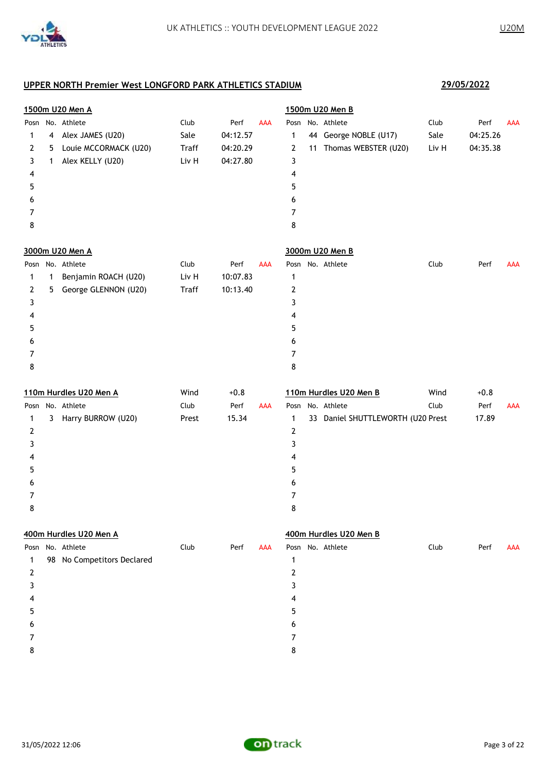|              |              | 1500m U20 Men A            |              |          |            |                | 1500m U20 Men B                   |       |          |            |
|--------------|--------------|----------------------------|--------------|----------|------------|----------------|-----------------------------------|-------|----------|------------|
|              |              | Posn No. Athlete           | Club         | Perf     | AAA        |                | Posn No. Athlete                  | Club  | Perf     | <b>AAA</b> |
| 1            | 4            | Alex JAMES (U20)           | Sale         | 04:12.57 |            | 1              | 44 George NOBLE (U17)             | Sale  | 04:25.26 |            |
| 2            | 5            | Louie MCCORMACK (U20)      | <b>Traff</b> | 04:20.29 |            | 2              | 11 Thomas WEBSTER (U20)           | Liv H | 04:35.38 |            |
| 3            | 1            | Alex KELLY (U20)           | Liv H        | 04:27.80 |            | 3              |                                   |       |          |            |
| 4            |              |                            |              |          |            | 4              |                                   |       |          |            |
| 5            |              |                            |              |          |            | 5              |                                   |       |          |            |
| 6            |              |                            |              |          |            | 6              |                                   |       |          |            |
| 7            |              |                            |              |          |            | 7              |                                   |       |          |            |
| 8            |              |                            |              |          |            | 8              |                                   |       |          |            |
|              |              | 3000m U20 Men A            |              |          |            |                | 3000m U20 Men B                   |       |          |            |
|              |              | Posn No. Athlete           | Club         | Perf     | AAA        |                | Posn No. Athlete                  | Club  | Perf     | AAA        |
| 1            | $\mathbf{1}$ | Benjamin ROACH (U20)       | Liv H        | 10:07.83 |            | 1              |                                   |       |          |            |
| 2            | 5            | George GLENNON (U20)       | <b>Traff</b> | 10:13.40 |            | 2              |                                   |       |          |            |
| 3            |              |                            |              |          |            | 3              |                                   |       |          |            |
| 4            |              |                            |              |          |            | 4              |                                   |       |          |            |
| 5            |              |                            |              |          |            | 5              |                                   |       |          |            |
| 6            |              |                            |              |          |            | 6              |                                   |       |          |            |
| 7            |              |                            |              |          |            | 7              |                                   |       |          |            |
| 8            |              |                            |              |          |            | 8              |                                   |       |          |            |
|              |              | 110m Hurdles U20 Men A     | Wind         | $+0.8$   |            |                | 110m Hurdles U20 Men B            | Wind  | $+0.8$   |            |
|              |              | Posn No. Athlete           | Club         | Perf     | AAA        |                | Posn No. Athlete                  | Club  | Perf     | <b>AAA</b> |
| 1            |              | 3 Harry BURROW (U20)       | Prest        | 15.34    |            | 1              | 33 Daniel SHUTTLEWORTH (U20 Prest |       | 17.89    |            |
| $\mathbf{2}$ |              |                            |              |          |            | 2              |                                   |       |          |            |
| 3            |              |                            |              |          |            | 3              |                                   |       |          |            |
| 4            |              |                            |              |          |            | 4              |                                   |       |          |            |
| 5            |              |                            |              |          |            | 5              |                                   |       |          |            |
| 6            |              |                            |              |          |            | 6              |                                   |       |          |            |
| 7            |              |                            |              |          |            | 7              |                                   |       |          |            |
| 8            |              |                            |              |          |            | 8              |                                   |       |          |            |
|              |              | 400m Hurdles U20 Men A     |              |          |            |                | 400m Hurdles U20 Men B            |       |          |            |
|              |              | Posn No. Athlete           | Club         | Perf     | <b>AAA</b> |                | Posn No. Athlete                  | Club  | Perf     | <b>AAA</b> |
| 1            |              | 98 No Competitors Declared |              |          |            | 1              |                                   |       |          |            |
| $\mathbf{2}$ |              |                            |              |          |            | $\overline{2}$ |                                   |       |          |            |
| 3            |              |                            |              |          |            | 3              |                                   |       |          |            |
| 4            |              |                            |              |          |            | 4              |                                   |       |          |            |
| 5            |              |                            |              |          |            | 5              |                                   |       |          |            |
| 6            |              |                            |              |          |            | 6              |                                   |       |          |            |
| 7            |              |                            |              |          |            | 7              |                                   |       |          |            |
| 8            |              |                            |              |          |            | 8              |                                   |       |          |            |
|              |              |                            |              |          |            |                |                                   |       |          |            |

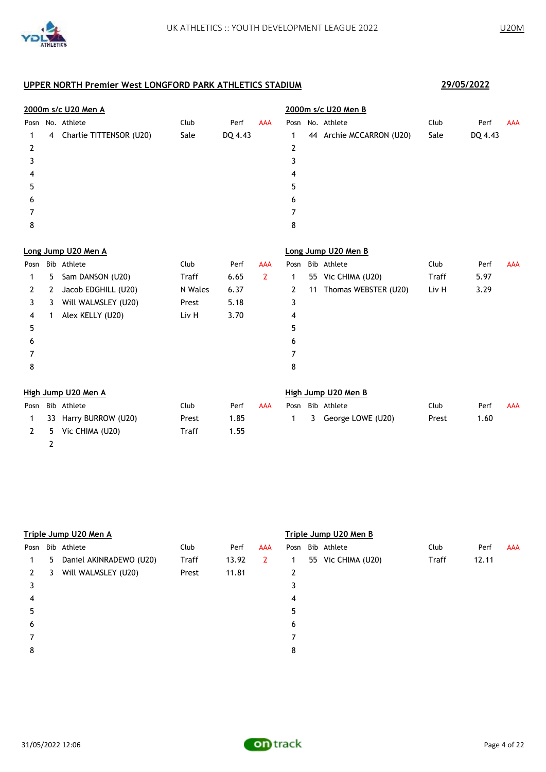

|      |    | 2000m s/c U20 Men A     |              |         |                | 2000m s/c U20 Men B |    |                          |       |         |            |  |
|------|----|-------------------------|--------------|---------|----------------|---------------------|----|--------------------------|-------|---------|------------|--|
| Posn |    | No. Athlete             | Club         | Perf    | <b>AAA</b>     | Posn                |    | No. Athlete              | Club  | Perf    | <b>AAA</b> |  |
| 1    | 4  | Charlie TITTENSOR (U20) | Sale         | DQ 4.43 |                | 1                   |    | 44 Archie MCCARRON (U20) | Sale  | DQ 4.43 |            |  |
| 2    |    |                         |              |         |                | $\overline{2}$      |    |                          |       |         |            |  |
| 3    |    |                         |              |         |                | 3                   |    |                          |       |         |            |  |
| 4    |    |                         |              |         |                | 4                   |    |                          |       |         |            |  |
| 5    |    |                         |              |         |                | 5                   |    |                          |       |         |            |  |
| 6    |    |                         |              |         |                | 6                   |    |                          |       |         |            |  |
| 7    |    |                         |              |         |                | 7                   |    |                          |       |         |            |  |
| 8    |    |                         |              |         |                | 8                   |    |                          |       |         |            |  |
|      |    | Long Jump U20 Men A     |              |         |                |                     |    | Long Jump U20 Men B      |       |         |            |  |
| Posn |    | Bib Athlete             | Club         | Perf    | <b>AAA</b>     | Posn                |    | Bib Athlete              | Club  | Perf    | <b>AAA</b> |  |
| 1    | 5. | Sam DANSON (U20)        | <b>Traff</b> | 6.65    | $\overline{2}$ | 1                   |    | 55 Vic CHIMA (U20)       | Traff | 5.97    |            |  |
| 2    | 2  | Jacob EDGHILL (U20)     | N Wales      | 6.37    |                | 2                   | 11 | Thomas WEBSTER (U20)     | Liv H | 3.29    |            |  |
| 3    | 3  | Will WALMSLEY (U20)     | Prest        | 5.18    |                | 3                   |    |                          |       |         |            |  |
| 4    | 1  | Alex KELLY (U20)        | Liv H        | 3.70    |                | 4                   |    |                          |       |         |            |  |
| 5    |    |                         |              |         |                | 5                   |    |                          |       |         |            |  |
| 6    |    |                         |              |         |                | 6                   |    |                          |       |         |            |  |
| 7    |    |                         |              |         |                | 7                   |    |                          |       |         |            |  |
| 8    |    |                         |              |         |                | 8                   |    |                          |       |         |            |  |
|      |    | High Jump U20 Men A     |              |         |                |                     |    | High Jump U20 Men B      |       |         |            |  |
| Posn |    | Bib Athlete             | Club         | Perf    | <b>AAA</b>     | Posn                |    | Bib Athlete              | Club  | Perf    | <b>AAA</b> |  |
| 1    | 33 | Harry BURROW (U20)      | Prest        | 1.85    |                | 1                   | 3  | George LOWE (U20)        | Prest | 1.60    |            |  |
| 2    | 5. | Vic CHIMA (U20)         | <b>Traff</b> | 1.55    |                |                     |    |                          |       |         |            |  |

|      |    | Triple Jump U20 Men A   |       |       |              | Triple Jump U20 Men B |  |                    |       |       |            |  |
|------|----|-------------------------|-------|-------|--------------|-----------------------|--|--------------------|-------|-------|------------|--|
| Posn |    | Bib Athlete             | Club  | Perf  | <b>AAA</b>   | Posn                  |  | Bib Athlete        | Club  | Perf  | <b>AAA</b> |  |
|      | 5. | Daniel AKINRADEWO (U20) | Traff | 13.92 | $\mathbf{2}$ | 1                     |  | 55 Vic CHIMA (U20) | Traff | 12.11 |            |  |
|      | 3  | Will WALMSLEY (U20)     | Prest | 11.81 |              | 2                     |  |                    |       |       |            |  |
| 3    |    |                         |       |       |              | 3                     |  |                    |       |       |            |  |
| 4    |    |                         |       |       |              | 4                     |  |                    |       |       |            |  |
| 5    |    |                         |       |       |              | 5                     |  |                    |       |       |            |  |
| 6    |    |                         |       |       |              | 6                     |  |                    |       |       |            |  |
|      |    |                         |       |       |              |                       |  |                    |       |       |            |  |
| 8    |    |                         |       |       |              | 8                     |  |                    |       |       |            |  |
|      |    |                         |       |       |              |                       |  |                    |       |       |            |  |

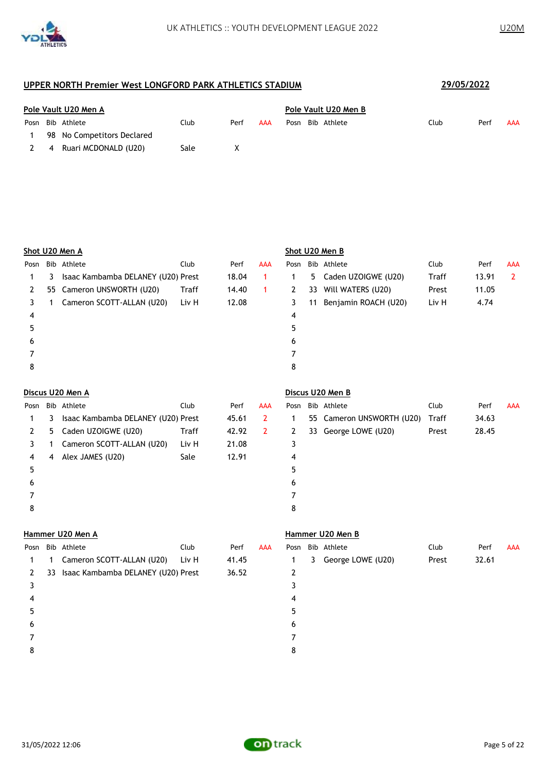

|      | Pole Vault U20 Men A |                            |      |      |     |      | Pole Vault U20 Men B |             |      |  |      |     |  |
|------|----------------------|----------------------------|------|------|-----|------|----------------------|-------------|------|--|------|-----|--|
| Posn |                      | Bib Athlete                | Club | Perf | AAA | Posn |                      | Bib Athlete | Club |  | Perf | AAA |  |
|      |                      | 98 No Competitors Declared |      |      |     |      |                      |             |      |  |      |     |  |
|      | $\overline{4}$       | Ruari MCDONALD (U20)       | Sale | x    |     |      |                      |             |      |  |      |     |  |

| Shot U20 Men A    |    |                                    |              |       |                |                |    | Shot U20 Men B         |       |       |                |
|-------------------|----|------------------------------------|--------------|-------|----------------|----------------|----|------------------------|-------|-------|----------------|
| Posn              |    | Bib Athlete                        | Club         | Perf  | AAA            |                |    | Posn Bib Athlete       | Club  | Perf  | <b>AAA</b>     |
| 3<br>1            |    | Isaac Kambamba DELANEY (U20) Prest |              | 18.04 | $\mathbf{1}$   | $\mathbf{1}$   | 5  | Caden UZOIGWE (U20)    | Traff | 13.91 | $\overline{2}$ |
| 2                 |    | 55 Cameron UNSWORTH (U20)          | Traff        | 14.40 | $\mathbf{1}$   | $\overline{2}$ | 33 | Will WATERS (U20)      | Prest | 11.05 |                |
| 3<br>1            |    | Cameron SCOTT-ALLAN (U20)          | Liv H        | 12.08 |                | 3              | 11 | Benjamin ROACH (U20)   | Liv H | 4.74  |                |
| 4                 |    |                                    |              |       |                | 4              |    |                        |       |       |                |
| 5                 |    |                                    |              |       |                | 5              |    |                        |       |       |                |
| 6                 |    |                                    |              |       |                | 6              |    |                        |       |       |                |
| 7                 |    |                                    |              |       |                | 7              |    |                        |       |       |                |
| 8                 |    |                                    |              |       |                | 8              |    |                        |       |       |                |
| Discus U20 Men A  |    |                                    |              |       |                |                |    | Discus U20 Men B       |       |       |                |
|                   |    | Bib Athlete                        | Club         | Perf  | AAA            | Posn           |    | Bib Athlete            | Club  | Perf  | <b>AAA</b>     |
| Posn<br>3         |    | Isaac Kambamba DELANEY (U20) Prest |              | 45.61 | $\overline{2}$ | $\mathbf{1}$   | 55 | Cameron UNSWORTH (U20) | Traff | 34.63 |                |
| 1                 |    |                                    |              |       |                |                |    |                        |       |       |                |
| 2<br>5            |    | Caden UZOIGWE (U20)                | <b>Traff</b> | 42.92 | $\overline{2}$ | 2              | 33 | George LOWE (U20)      | Prest | 28.45 |                |
| 3<br>1            |    | Cameron SCOTT-ALLAN (U20)          | Liv H        | 21.08 |                | 3              |    |                        |       |       |                |
| 4<br>4            |    | Alex JAMES (U20)                   | Sale         | 12.91 |                | 4              |    |                        |       |       |                |
| 5                 |    |                                    |              |       |                | 5              |    |                        |       |       |                |
| 6                 |    |                                    |              |       |                | 6              |    |                        |       |       |                |
| 7                 |    |                                    |              |       |                | 7              |    |                        |       |       |                |
| 8                 |    |                                    |              |       |                | 8              |    |                        |       |       |                |
|                   |    | Hammer U20 Men A                   |              |       |                |                |    | Hammer U20 Men B       |       |       |                |
| Posn              |    | Bib Athlete                        | Club         | Perf  | <b>AAA</b>     | Posn           |    | Bib Athlete            | Club  | Perf  | <b>AAA</b>     |
| 1<br>$\mathbf{1}$ |    | Cameron SCOTT-ALLAN (U20)          | Liv H        | 41.45 |                | $\mathbf{1}$   | 3  | George LOWE (U20)      | Prest | 32.61 |                |
| 2                 | 33 | Isaac Kambamba DELANEY (U20) Prest |              | 36.52 |                | 2              |    |                        |       |       |                |
| 3                 |    |                                    |              |       |                | 3              |    |                        |       |       |                |
| 4                 |    |                                    |              |       |                | 4              |    |                        |       |       |                |
| 5                 |    |                                    |              |       |                | 5              |    |                        |       |       |                |
| 6                 |    |                                    |              |       |                |                |    |                        |       |       |                |

 7 8

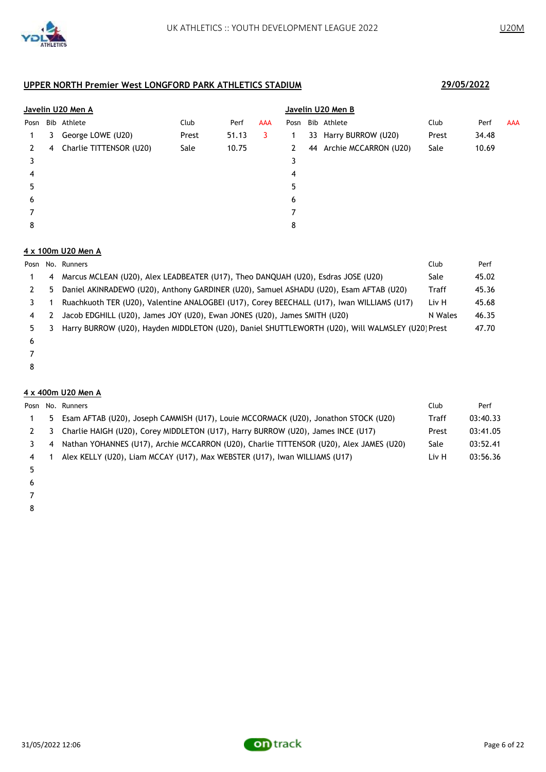

|   |                         |                                  |       |            | Javelin U20 Men B |  |  |                                                                  |       |     |  |
|---|-------------------------|----------------------------------|-------|------------|-------------------|--|--|------------------------------------------------------------------|-------|-----|--|
|   |                         | Club                             | Perf  | <b>AAA</b> | Posn              |  |  | Club                                                             | Perf  | AAA |  |
| 3 | George LOWE (U20)       | Prest                            | 51.13 | 3          |                   |  |  | Prest                                                            | 34.48 |     |  |
| 4 | Charlie TITTENSOR (U20) | Sale                             | 10.75 |            | 2                 |  |  | Sale                                                             | 10.69 |     |  |
|   |                         |                                  |       |            | 3                 |  |  |                                                                  |       |     |  |
|   |                         |                                  |       |            | 4                 |  |  |                                                                  |       |     |  |
|   |                         |                                  |       |            | 5                 |  |  |                                                                  |       |     |  |
|   |                         |                                  |       |            | 6                 |  |  |                                                                  |       |     |  |
|   |                         |                                  |       |            |                   |  |  |                                                                  |       |     |  |
|   |                         |                                  |       |            | 8                 |  |  |                                                                  |       |     |  |
|   | Posn                    | Javelin U20 Men A<br>Bib Athlete |       |            |                   |  |  | Bib Athlete<br>33 Harry BURROW (U20)<br>44 Archie MCCARRON (U20) |       |     |  |

### **4 x 100m U20 Men A**

|    |    | Posn No. Runners                                                                                 | Club    | Perf  |
|----|----|--------------------------------------------------------------------------------------------------|---------|-------|
|    | 4  | Marcus MCLEAN (U20), Alex LEADBEATER (U17), Theo DANQUAH (U20), Esdras JOSE (U20)                | Sale    | 45.02 |
|    | 5. | Daniel AKINRADEWO (U20), Anthony GARDINER (U20), Samuel ASHADU (U20), Esam AFTAB (U20)           | Traff   | 45.36 |
|    |    | Ruachkuoth TER (U20), Valentine ANALOGBEI (U17), Corey BEECHALL (U17), Iwan WILLIAMS (U17)       | Liv H   | 45.68 |
| 4  |    | Jacob EDGHILL (U20), James JOY (U20), Ewan JONES (U20), James SMITH (U20)                        | N Wales | 46.35 |
| 5. |    | Harry BURROW (U20), Hayden MIDDLETON (U20), Daniel SHUTTLEWORTH (U20), Will WALMSLEY (U20) Prest |         | 47.70 |
| 6  |    |                                                                                                  |         |       |

- 
- 

### **4 x 400m U20 Men A**

|    | Posn No. Runners                                                                        | Club  | Perf     |
|----|-----------------------------------------------------------------------------------------|-------|----------|
| 5. | Esam AFTAB (U20), Joseph CAMMISH (U17), Louie MCCORMACK (U20), Jonathon STOCK (U20)     | Traff | 03:40.33 |
| 3  | Charlie HAIGH (U20), Corey MIDDLETON (U17), Harry BURROW (U20), James INCE (U17)        | Prest | 03:41.05 |
| 4  | Nathan YOHANNES (U17), Archie MCCARRON (U20), Charlie TITTENSOR (U20), Alex JAMES (U20) | Sale  | 03:52.41 |
|    | Alex KELLY (U20), Liam MCCAY (U17), Max WEBSTER (U17), Iwan WILLIAMS (U17)              | Liv H | 03:56.36 |
|    |                                                                                         |       |          |

- 
- 

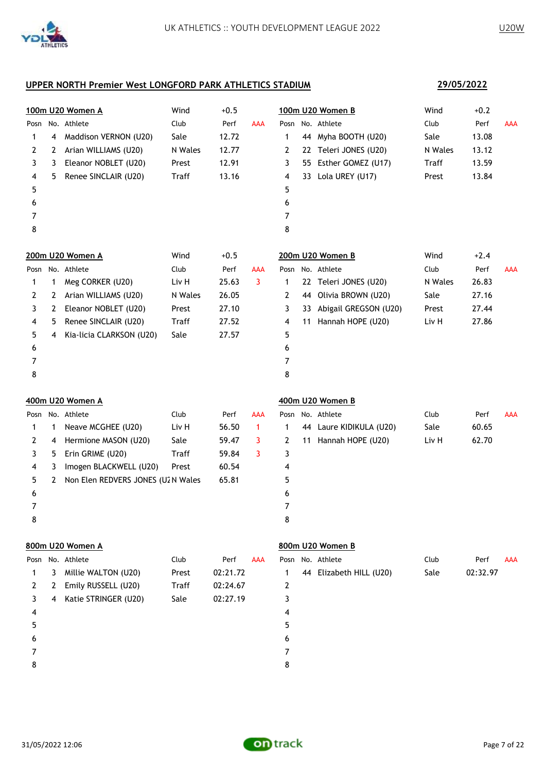**29/05/2022**

### **UPPER NORTH Premier West LONGFORD PARK ATHLETICS STADIUM**

|      |   | 100m U20 Women A                  | Wind         | $+0.5$   |              |   |    | 100m U20 Women B         | Wind    | $+0.2$   |            |
|------|---|-----------------------------------|--------------|----------|--------------|---|----|--------------------------|---------|----------|------------|
| Posn |   | No. Athlete                       | Club         | Perf     | <b>AAA</b>   |   |    | Posn No. Athlete         | Club    | Perf     | <b>AAA</b> |
| 1    | 4 | Maddison VERNON (U20)             | Sale         | 12.72    |              | 1 |    | 44 Myha BOOTH (U20)      | Sale    | 13.08    |            |
| 2    | 2 | Arian WILLIAMS (U20)              | N Wales      | 12.77    |              | 2 |    | 22 Teleri JONES (U20)    | N Wales | 13.12    |            |
| 3    | 3 | Eleanor NOBLET (U20)              | Prest        | 12.91    |              | 3 |    | 55 Esther GOMEZ (U17)    | Traff   | 13.59    |            |
| 4    | 5 | Renee SINCLAIR (U20)              | Traff        | 13.16    |              | 4 |    | 33 Lola UREY (U17)       | Prest   | 13.84    |            |
| 5    |   |                                   |              |          |              | 5 |    |                          |         |          |            |
| 6    |   |                                   |              |          |              | 6 |    |                          |         |          |            |
| 7    |   |                                   |              |          |              | 7 |    |                          |         |          |            |
| 8    |   |                                   |              |          |              | 8 |    |                          |         |          |            |
|      |   | 200m U20 Women A                  | Wind         | $+0.5$   |              |   |    | 200m U20 Women B         | Wind    | $+2.4$   |            |
|      |   | Posn No. Athlete                  | Club         | Perf     | AAA          |   |    | Posn No. Athlete         | Club    | Perf     | <b>AAA</b> |
| 1    | 1 | Meg CORKER (U20)                  | Liv H        | 25.63    | 3            | 1 |    | 22 Teleri JONES (U20)    | N Wales | 26.83    |            |
| 2    | 2 | Arian WILLIAMS (U20)              | N Wales      | 26.05    |              | 2 | 44 | Olivia BROWN (U20)       | Sale    | 27.16    |            |
| 3    | 2 | Eleanor NOBLET (U20)              | Prest        | 27.10    |              | 3 |    | 33 Abigail GREGSON (U20) | Prest   | 27.44    |            |
| 4    | 5 | Renee SINCLAIR (U20)              | Traff        | 27.52    |              | 4 | 11 | Hannah HOPE (U20)        | Liv H   | 27.86    |            |
| 5    | 4 | Kia-licia CLARKSON (U20)          | Sale         | 27.57    |              | 5 |    |                          |         |          |            |
| 6    |   |                                   |              |          |              | 6 |    |                          |         |          |            |
| 7    |   |                                   |              |          |              | 7 |    |                          |         |          |            |
| 8    |   |                                   |              |          |              | 8 |    |                          |         |          |            |
|      |   | 400m U20 Women A                  |              |          |              |   |    | 400m U20 Women B         |         |          |            |
| Posn |   | No. Athlete                       | Club         | Perf     | <b>AAA</b>   |   |    | Posn No. Athlete         | Club    | Perf     | <b>AAA</b> |
| 1    | 1 | Neave MCGHEE (U20)                | Liv H        | 56.50    | $\mathbf{1}$ | 1 |    | 44 Laure KIDIKULA (U20)  | Sale    | 60.65    |            |
| 2    | 4 | Hermione MASON (U20)              | Sale         | 59.47    | 3            | 2 |    | 11 Hannah HOPE (U20)     | Liv H   | 62.70    |            |
| 3    | 5 | Erin GRIME (U20)                  | Traff        | 59.84    | 3            | 3 |    |                          |         |          |            |
| 4    | 3 | Imogen BLACKWELL (U20)            | Prest        | 60.54    |              | 4 |    |                          |         |          |            |
| 5    | 2 | Non Elen REDVERS JONES (U2N Wales |              | 65.81    |              | 5 |    |                          |         |          |            |
| 6    |   |                                   |              |          |              | 6 |    |                          |         |          |            |
| 7    |   |                                   |              |          |              | 7 |    |                          |         |          |            |
| 8    |   |                                   |              |          |              | 8 |    |                          |         |          |            |
|      |   | 800m U20 Women A                  |              |          |              |   |    | 800m U20 Women B         |         |          |            |
| Posn |   | No. Athlete                       | Club         | Perf     | <b>AAA</b>   |   |    | Posn No. Athlete         | Club    | Perf     | AAA        |
| 1    | 3 | Millie WALTON (U20)               | Prest        | 02:21.72 |              | 1 |    | 44 Elizabeth HILL (U20)  | Sale    | 02:32.97 |            |
| 2    | 2 | Emily RUSSELL (U20)               | <b>Traff</b> | 02:24.67 |              | 2 |    |                          |         |          |            |
| 3    | 4 | Katie STRINGER (U20)              | Sale         | 02:27.19 |              | 3 |    |                          |         |          |            |
| 4    |   |                                   |              |          |              | 4 |    |                          |         |          |            |

- 
- 5
- 
- 
- 7
- 8

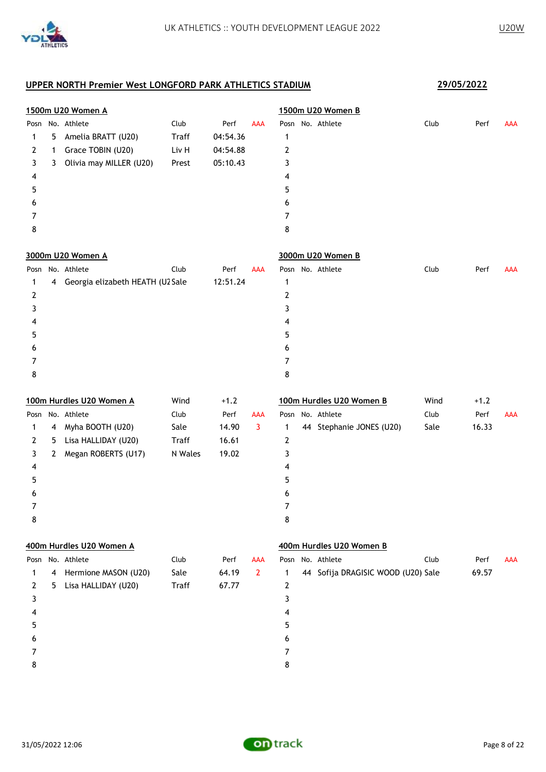

|   |              | 1500m U20 Women A                  |              |          |                |                | 1500m U20 Women B                  |      |        |            |
|---|--------------|------------------------------------|--------------|----------|----------------|----------------|------------------------------------|------|--------|------------|
|   |              | Posn No. Athlete                   | Club         | Perf     | AAA            |                | Posn No. Athlete                   | Club | Perf   | <b>AAA</b> |
| 1 | 5            | Amelia BRATT (U20)                 | <b>Traff</b> | 04:54.36 |                | 1              |                                    |      |        |            |
| 2 | 1            | Grace TOBIN (U20)                  | Liv H        | 04:54.88 |                | 2              |                                    |      |        |            |
| 3 | 3            | Olivia may MILLER (U20)            | Prest        | 05:10.43 |                | 3              |                                    |      |        |            |
| 4 |              |                                    |              |          |                | 4              |                                    |      |        |            |
| 5 |              |                                    |              |          |                | 5              |                                    |      |        |            |
| 6 |              |                                    |              |          |                | 6              |                                    |      |        |            |
| 7 |              |                                    |              |          |                | 7              |                                    |      |        |            |
| 8 |              |                                    |              |          |                | 8              |                                    |      |        |            |
|   |              | 3000m U20 Women A                  |              |          |                |                | 3000m U20 Women B                  |      |        |            |
|   |              | Posn No. Athlete                   | Club         | Perf     | <b>AAA</b>     |                | Posn No. Athlete                   | Club | Perf   | <b>AAA</b> |
| 1 |              | 4 Georgia elizabeth HEATH (U2 Sale |              | 12:51.24 |                | $\mathbf{1}$   |                                    |      |        |            |
| 2 |              |                                    |              |          |                | $\overline{2}$ |                                    |      |        |            |
| 3 |              |                                    |              |          |                | 3              |                                    |      |        |            |
| 4 |              |                                    |              |          |                | 4              |                                    |      |        |            |
| 5 |              |                                    |              |          |                | 5              |                                    |      |        |            |
| 6 |              |                                    |              |          |                | 6              |                                    |      |        |            |
| 7 |              |                                    |              |          |                | 7              |                                    |      |        |            |
| 8 |              |                                    |              |          |                | 8              |                                    |      |        |            |
|   |              | 100m Hurdles U20 Women A           | Wind         | $+1.2$   |                |                | 100m Hurdles U20 Women B           | Wind | $+1.2$ |            |
|   |              | Posn No. Athlete                   | Club         | Perf     | AAA            |                | Posn No. Athlete                   | Club | Perf   | AAA        |
| 1 | 4            | Myha BOOTH (U20)                   | Sale         | 14.90    | 3              | 1              | 44 Stephanie JONES (U20)           | Sale | 16.33  |            |
| 2 | 5.           | Lisa HALLIDAY (U20)                | <b>Traff</b> | 16.61    |                | 2              |                                    |      |        |            |
| 3 | $\mathbf{2}$ | Megan ROBERTS (U17)                | N Wales      | 19.02    |                | 3              |                                    |      |        |            |
| 4 |              |                                    |              |          |                | 4              |                                    |      |        |            |
| 5 |              |                                    |              |          |                | 5              |                                    |      |        |            |
| 6 |              |                                    |              |          |                | 6              |                                    |      |        |            |
| 7 |              |                                    |              |          |                | $\overline{7}$ |                                    |      |        |            |
| 8 |              |                                    |              |          |                | 8              |                                    |      |        |            |
|   |              | 400m Hurdles U20 Women A           |              |          |                |                | 400m Hurdles U20 Women B           |      |        |            |
|   |              | Posn No. Athlete                   | Club         | Perf     | <b>AAA</b>     |                | Posn No. Athlete                   | Club | Perf   | <b>AAA</b> |
| 1 | 4            | Hermione MASON (U20)               | Sale         | 64.19    | $\overline{2}$ | 1              | 44 Sofija DRAGISIC WOOD (U20) Sale |      | 69.57  |            |
| 2 | 5            | Lisa HALLIDAY (U20)                | <b>Traff</b> | 67.77    |                | $\mathbf{2}$   |                                    |      |        |            |
| 3 |              |                                    |              |          |                | 3              |                                    |      |        |            |
| 4 |              |                                    |              |          |                | 4              |                                    |      |        |            |
| 5 |              |                                    |              |          |                | 5              |                                    |      |        |            |
| 6 |              |                                    |              |          |                | 6              |                                    |      |        |            |
| 7 |              |                                    |              |          |                | 7              |                                    |      |        |            |
| 8 |              |                                    |              |          |                | 8              |                                    |      |        |            |

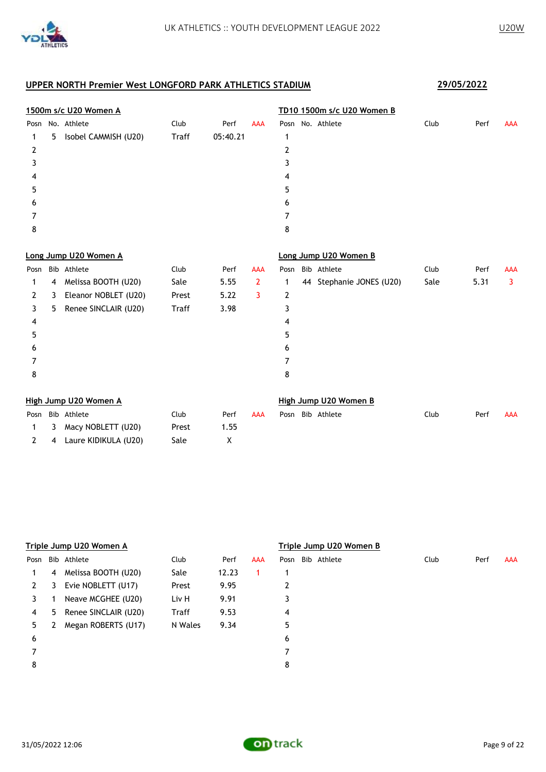

|      |    | 1500m s/c U20 Women A |              |          | TD10 1500m s/c U20 Women B |                |                       |                          |      |      |            |
|------|----|-----------------------|--------------|----------|----------------------------|----------------|-----------------------|--------------------------|------|------|------------|
| Posn |    | No. Athlete           | Club         | Perf     | <b>AAA</b>                 |                | Posn No. Athlete      |                          | Club | Perf | <b>AAA</b> |
| 1    | 5. | Isobel CAMMISH (U20)  | <b>Traff</b> | 05:40.21 |                            | 1              |                       |                          |      |      |            |
| 2    |    |                       |              |          |                            | 2              |                       |                          |      |      |            |
| 3    |    |                       |              |          |                            | 3              |                       |                          |      |      |            |
| 4    |    |                       |              |          |                            | 4              |                       |                          |      |      |            |
| 5    |    |                       |              |          |                            | 5              |                       |                          |      |      |            |
| 6    |    |                       |              |          |                            | 6              |                       |                          |      |      |            |
| 7    |    |                       |              |          |                            | 7              |                       |                          |      |      |            |
| 8    |    |                       |              |          |                            | 8              |                       |                          |      |      |            |
|      |    | Long Jump U20 Women A |              |          |                            |                | Long Jump U20 Women B |                          |      |      |            |
| Posn |    | Bib Athlete           | Club         | Perf     | <b>AAA</b>                 | Posn           | Bib Athlete           |                          | Club | Perf | <b>AAA</b> |
| 1    | 4  | Melissa BOOTH (U20)   | Sale         | 5.55     | $\overline{2}$             | 1              |                       | 44 Stephanie JONES (U20) | Sale | 5.31 | 3          |
| 2    | 3  | Eleanor NOBLET (U20)  | Prest        | 5.22     | 3                          | $\overline{2}$ |                       |                          |      |      |            |
| 3    | 5. | Renee SINCLAIR (U20)  | Traff        | 3.98     |                            | 3              |                       |                          |      |      |            |
| 4    |    |                       |              |          |                            | 4              |                       |                          |      |      |            |
| 5    |    |                       |              |          |                            | 5              |                       |                          |      |      |            |
| 6    |    |                       |              |          |                            | 6              |                       |                          |      |      |            |
| 7    |    |                       |              |          |                            | 7              |                       |                          |      |      |            |
| 8    |    |                       |              |          |                            | 8              |                       |                          |      |      |            |
|      |    | High Jump U20 Women A |              |          |                            |                | High Jump U20 Women B |                          |      |      |            |
| Posn |    | Bib Athlete           | Club         | Perf     | <b>AAA</b>                 | Posn           | Bib Athlete           |                          | Club | Perf | <b>AAA</b> |
| 1    | 3  | Macy NOBLETT (U20)    | Prest        | 1.55     |                            |                |                       |                          |      |      |            |
| 2    | 4  | Laure KIDIKULA (U20)  | Sale         | X        |                            |                |                       |                          |      |      |            |

|      |    | Triple Jump U20 Women A |         |       | Triple Jump U20 Women B |   |                  |      |      |            |  |
|------|----|-------------------------|---------|-------|-------------------------|---|------------------|------|------|------------|--|
| Posn |    | Bib Athlete             | Club    | Perf  | AAA                     |   | Posn Bib Athlete | Club | Perf | <b>AAA</b> |  |
|      | 4  | Melissa BOOTH (U20)     | Sale    | 12.23 |                         |   |                  |      |      |            |  |
| 2    | 3  | Evie NOBLETT (U17)      | Prest   | 9.95  |                         | 2 |                  |      |      |            |  |
| 3    |    | Neave MCGHEE (U20)      | Liv H   | 9.91  |                         | 3 |                  |      |      |            |  |
| 4    | 5. | Renee SINCLAIR (U20)    | Traff   | 9.53  |                         | 4 |                  |      |      |            |  |
| 5.   |    | Megan ROBERTS (U17)     | N Wales | 9.34  |                         | 5 |                  |      |      |            |  |
| 6    |    |                         |         |       |                         | 6 |                  |      |      |            |  |
|      |    |                         |         |       |                         | 7 |                  |      |      |            |  |
| 8    |    |                         |         |       |                         | 8 |                  |      |      |            |  |
|      |    |                         |         |       |                         |   |                  |      |      |            |  |

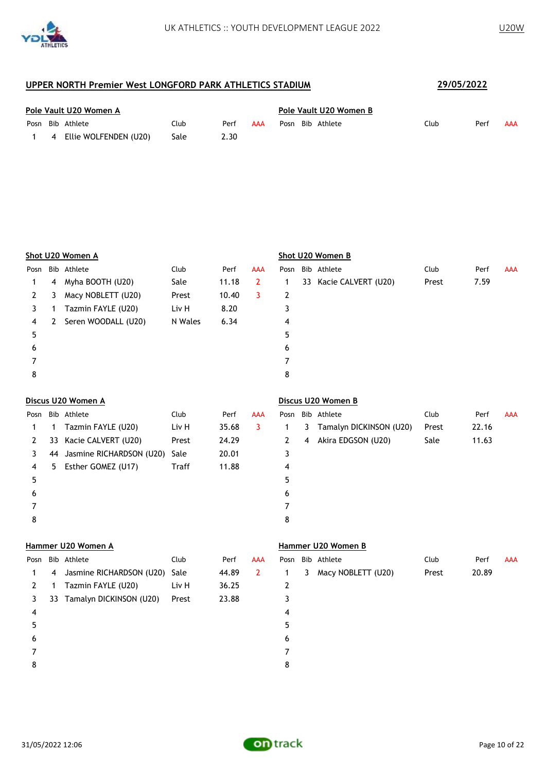

| Pole Vault U20 Women A |  |                         |      |      |     | Pole Vault U20 Women B |  |                  |      |      |            |  |
|------------------------|--|-------------------------|------|------|-----|------------------------|--|------------------|------|------|------------|--|
|                        |  | Posn Bib Athlete        | Club | Perf | AAA |                        |  | Posn Bib Athlete | Club | Perf | <b>AAA</b> |  |
|                        |  | 4 Ellie WOLFENDEN (U20) | Sale | 2.30 |     |                        |  |                  |      |      |            |  |

|      | Shot U20 Women A |                     |         |       |              |      | Shot U20 Women B |                        |       |      |            |  |  |
|------|------------------|---------------------|---------|-------|--------------|------|------------------|------------------------|-------|------|------------|--|--|
| Posn |                  | Bib Athlete         | Club    | Perf  | <b>AAA</b>   | Posn |                  | Bib Athlete            | Club  | Perf | <b>AAA</b> |  |  |
| 1.   | 4                | Myha BOOTH (U20)    | Sale    | 11.18 | $\mathbf{2}$ |      |                  | 33 Kacie CALVERT (U20) | Prest | 7.59 |            |  |  |
| 2    | 3                | Macy NOBLETT (U20)  | Prest   | 10.40 | 3            | 2    |                  |                        |       |      |            |  |  |
| 3    |                  | Tazmin FAYLE (U20)  | Liv H   | 8.20  |              | 3    |                  |                        |       |      |            |  |  |
| 4    | 2                | Seren WOODALL (U20) | N Wales | 6.34  |              | 4    |                  |                        |       |      |            |  |  |
| 5    |                  |                     |         |       |              | 5    |                  |                        |       |      |            |  |  |
| 6    |                  |                     |         |       |              | 6    |                  |                        |       |      |            |  |  |
|      |                  |                     |         |       |              | 7    |                  |                        |       |      |            |  |  |
| 8    |                  |                     |         |       |              | 8    |                  |                        |       |      |            |  |  |
|      |                  |                     |         |       |              |      |                  |                        |       |      |            |  |  |

## **Discus U20 Women A Discus U20 Women B**

| Posn |    | Bib Athlete              | Club         | Perf  | AAA |   |    | Posn Bib Athlete        | Club  | Perf  | <b>AAA</b> |
|------|----|--------------------------|--------------|-------|-----|---|----|-------------------------|-------|-------|------------|
|      |    | Tazmin FAYLE (U20)       | Liv H        | 35.68 | 3   |   | 3. | Tamalyn DICKINSON (U20) | Prest | 22.16 |            |
| 2    | 33 | Kacie CALVERT (U20)      | Prest        | 24.29 |     |   | 4  | Akira EDGSON (U20)      | Sale  | 11.63 |            |
| 3    | 44 | Jasmine RICHARDSON (U20) | Sale         | 20.01 |     | 3 |    |                         |       |       |            |
| 4    | 5. | Esther GOMEZ (U17)       | <b>Traff</b> | 11.88 |     | 4 |    |                         |       |       |            |
| 5    |    |                          |              |       |     | 5 |    |                         |       |       |            |
| 6    |    |                          |              |       |     | 6 |    |                         |       |       |            |
|      |    |                          |              |       |     |   |    |                         |       |       |            |
| 8    |    |                          |              |       |     | 8 |    |                         |       |       |            |
|      |    |                          |              |       |     |   |    |                         |       |       |            |

#### **Hammer U20 Women A Hammer U20 Women B**

| Posn |   | Bib Athlete                   | Club  | Perf  | <b>AAA</b>     |   |   | Posn Bib Athlete   | Club  | Perf  | <b>AAA</b> |
|------|---|-------------------------------|-------|-------|----------------|---|---|--------------------|-------|-------|------------|
|      | 4 | Jasmine RICHARDSON (U20) Sale |       | 44.89 | $\overline{2}$ |   | 3 | Macy NOBLETT (U20) | Prest | 20.89 |            |
|      |   | Tazmin FAYLE (U20)            | Liv H | 36.25 |                | 2 |   |                    |       |       |            |
| 3    |   | 33 Tamalyn DICKINSON (U20)    | Prest | 23.88 |                | 3 |   |                    |       |       |            |
| 4    |   |                               |       |       |                | 4 |   |                    |       |       |            |
| 5    |   |                               |       |       |                | 5 |   |                    |       |       |            |
| 6    |   |                               |       |       |                | 6 |   |                    |       |       |            |
|      |   |                               |       |       |                |   |   |                    |       |       |            |
| 8    |   |                               |       |       |                | 8 |   |                    |       |       |            |
|      |   |                               |       |       |                |   |   |                    |       |       |            |

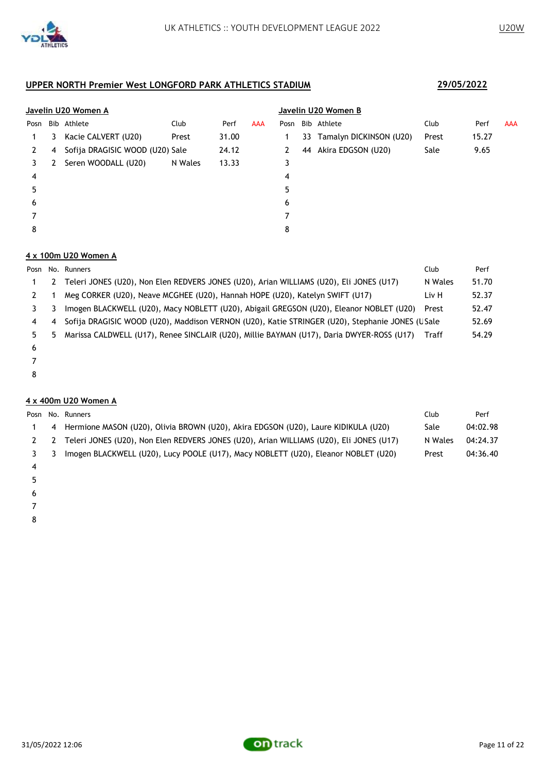

|      | Javelin U20 Women A |                                 |         |       |            |      | Javelin U20 Women B |                            |       |       |            |  |  |
|------|---------------------|---------------------------------|---------|-------|------------|------|---------------------|----------------------------|-------|-------|------------|--|--|
| Posn |                     | Bib Athlete                     | Club    | Perf  | <b>AAA</b> | Posn |                     | Bib Athlete                | Club  | Perf  | <b>AAA</b> |  |  |
|      | 3                   | Kacie CALVERT (U20)             | Prest   | 31.00 |            |      |                     | 33 Tamalyn DICKINSON (U20) | Prest | 15.27 |            |  |  |
| 2    | 4                   | Sofija DRAGISIC WOOD (U20) Sale |         | 24.12 |            | 2    | 44                  | Akira EDGSON (U20)         | Sale  | 9.65  |            |  |  |
| 3    | 2                   | Seren WOODALL (U20)             | N Wales | 13.33 |            | 3    |                     |                            |       |       |            |  |  |
| 4    |                     |                                 |         |       |            | 4    |                     |                            |       |       |            |  |  |
| 5    |                     |                                 |         |       |            | 5    |                     |                            |       |       |            |  |  |
| 6    |                     |                                 |         |       |            | 6    |                     |                            |       |       |            |  |  |
|      |                     |                                 |         |       |            |      |                     |                            |       |       |            |  |  |
| 8    |                     |                                 |         |       |            | 8    |                     |                            |       |       |            |  |  |

#### **4 x 100m U20 Women A**

|    |    | Posn No. Runners                                                                                | Club    | Perf  |
|----|----|-------------------------------------------------------------------------------------------------|---------|-------|
|    | 2  | Teleri JONES (U20), Non Elen REDVERS JONES (U20), Arian WILLIAMS (U20), Eli JONES (U17)         | N Wales | 51.70 |
|    |    | Meg CORKER (U20), Neave MCGHEE (U20), Hannah HOPE (U20), Katelyn SWIFT (U17)                    | Liv H   | 52.37 |
|    |    | Imogen BLACKWELL (U20), Macy NOBLETT (U20), Abigail GREGSON (U20), Eleanor NOBLET (U20)         | Prest   | 52.47 |
| 4  | 4  | Sofija DRAGISIC WOOD (U20), Maddison VERNON (U20), Katie STRINGER (U20), Stephanie JONES (USale |         | 52.69 |
| 5. | 5. | Marissa CALDWELL (U17), Renee SINCLAIR (U20), Millie BAYMAN (U17), Daria DWYER-ROSS (U17)       | Traff   | 54.29 |
| 6  |    |                                                                                                 |         |       |
|    |    |                                                                                                 |         |       |

- 
- 

#### **4 x 400m U20 Women A**

|     |   | Posn No. Runners                                                                            | Club    | Perf     |
|-----|---|---------------------------------------------------------------------------------------------|---------|----------|
|     | 4 | Hermione MASON (U20), Olivia BROWN (U20), Akira EDGSON (U20), Laure KIDIKULA (U20)          | Sale    | 04:02.98 |
|     |   | 2 2 Teleri JONES (U20), Non Elen REDVERS JONES (U20), Arian WILLIAMS (U20), Eli JONES (U17) | N Wales | 04:24.37 |
| 3 3 |   | Imogen BLACKWELL (U20), Lucy POOLE (U17), Macy NOBLETT (U20), Eleanor NOBLET (U20)          | Prest   | 04:36.40 |
|     |   |                                                                                             |         |          |

- 
- 
- 

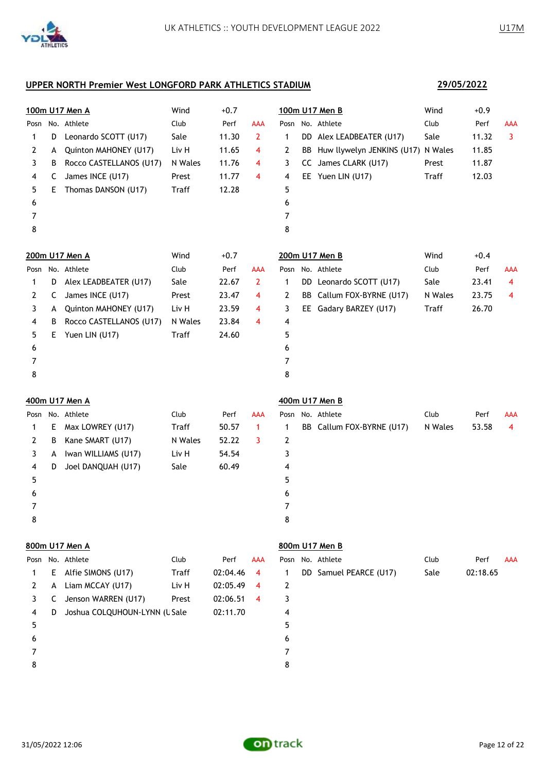|   |    | 100m U17 Men A               | Wind         | $+0.7$   |                |      |    | 100m U17 Men B                        | Wind         | $+0.9$   |            |
|---|----|------------------------------|--------------|----------|----------------|------|----|---------------------------------------|--------------|----------|------------|
|   |    | Posn No. Athlete             | Club         | Perf     | <b>AAA</b>     |      |    | Posn No. Athlete                      | Club         | Perf     | AAA        |
| 1 | D  | Leonardo SCOTT (U17)         | Sale         | 11.30    | 2              | 1    |    | DD Alex LEADBEATER (U17)              | Sale         | 11.32    | 3          |
| 2 | A  | Quinton MAHONEY (U17)        | Liv H        | 11.65    | 4              | 2    |    | BB Huw llywelyn JENKINS (U17) N Wales |              | 11.85    |            |
| 3 | В  | Rocco CASTELLANOS (U17)      | N Wales      | 11.76    | 4              | 3    |    | CC James CLARK (U17)                  | Prest        | 11.87    |            |
| 4 | C  | James INCE (U17)             | Prest        | 11.77    | 4              | 4    |    | EE Yuen LIN (U17)                     | <b>Traff</b> | 12.03    |            |
| 5 | E. | Thomas DANSON (U17)          | Traff        | 12.28    |                | 5    |    |                                       |              |          |            |
| 6 |    |                              |              |          |                | 6    |    |                                       |              |          |            |
| 7 |    |                              |              |          |                | 7    |    |                                       |              |          |            |
| 8 |    |                              |              |          |                | 8    |    |                                       |              |          |            |
|   |    | 200m U17 Men A               | Wind         | $+0.7$   |                |      |    | 200m U17 Men B                        | Wind         | $+0.4$   |            |
|   |    | Posn No. Athlete             | Club         | Perf     | AAA            | Posn |    | No. Athlete                           | Club         | Perf     | <b>AAA</b> |
| 1 | D  | Alex LEADBEATER (U17)        | Sale         | 22.67    | $\overline{2}$ | 1    |    | DD Leonardo SCOTT (U17)               | Sale         | 23.41    | 4          |
| 2 | C  | James INCE (U17)             | Prest        | 23.47    | 4              | 2    | BB | Callum FOX-BYRNE (U17)                | N Wales      | 23.75    | 4          |
| 3 | A  | Quinton MAHONEY (U17)        | Liv H        | 23.59    | 4              | 3    |    | EE Gadary BARZEY (U17)                | <b>Traff</b> | 26.70    |            |
| 4 | В  | Rocco CASTELLANOS (U17)      | N Wales      | 23.84    | 4              | 4    |    |                                       |              |          |            |
| 5 | E. | Yuen LIN (U17)               | <b>Traff</b> | 24.60    |                | 5    |    |                                       |              |          |            |
| 6 |    |                              |              |          |                | 6    |    |                                       |              |          |            |
| 7 |    |                              |              |          |                | 7    |    |                                       |              |          |            |
| 8 |    |                              |              |          |                | 8    |    |                                       |              |          |            |
|   |    | 400m U17 Men A               |              |          |                |      |    | 400m U17 Men B                        |              |          |            |
|   |    | Posn No. Athlete             | Club         | Perf     | <b>AAA</b>     | Posn |    | No. Athlete                           | Club         | Perf     | <b>AAA</b> |
| 1 | E. | Max LOWREY (U17)             | Traff        | 50.57    | $\mathbf{1}$   | 1    |    | BB Callum FOX-BYRNE (U17)             | N Wales      | 53.58    | 4          |
| 2 | В  | Kane SMART (U17)             | N Wales      | 52.22    | 3              | 2    |    |                                       |              |          |            |
| 3 | A  | Iwan WILLIAMS (U17)          | Liv H        | 54.54    |                | 3    |    |                                       |              |          |            |
| 4 | D  | Joel DANQUAH (U17)           | Sale         | 60.49    |                | 4    |    |                                       |              |          |            |
| 5 |    |                              |              |          |                | 5    |    |                                       |              |          |            |
| 6 |    |                              |              |          |                | 6    |    |                                       |              |          |            |
| 7 |    |                              |              |          |                | 7    |    |                                       |              |          |            |
| 8 |    |                              |              |          |                | 8    |    |                                       |              |          |            |
|   |    | 800m U17 Men A               |              |          |                |      |    | 800m U17 Men B                        |              |          |            |
|   |    | Posn No. Athlete             | Club         | Perf     | AAA            |      |    | Posn No. Athlete                      | Club         | Perf     | <b>AAA</b> |
| 1 | E  | Alfie SIMONS (U17)           | Traff        | 02:04.46 | 4              | 1    |    | DD Samuel PEARCE (U17)                | Sale         | 02:18.65 |            |
| 2 | A  | Liam MCCAY (U17)             | Liv H        | 02:05.49 | 4              | 2    |    |                                       |              |          |            |
| 3 | C  | Jenson WARREN (U17)          | Prest        | 02:06.51 | 4              | 3    |    |                                       |              |          |            |
| 4 | D  | Joshua COLQUHOUN-LYNN (USale |              | 02:11.70 |                | 4    |    |                                       |              |          |            |
| 5 |    |                              |              |          |                | 5    |    |                                       |              |          |            |
| 6 |    |                              |              |          |                | 6    |    |                                       |              |          |            |

- 7
- 
- 8



## **29/05/2022**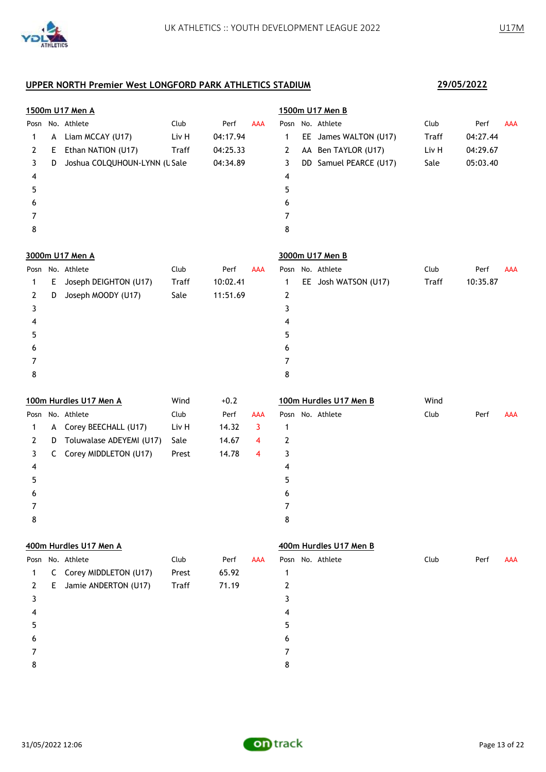

 7 8

## **1500m U17 Men A 1500m U17 Men B** Posn No. Athlete Club Perf AAA Posn No. Athlete Club Perf AAA A Liam MCCAY (U17) Liv H 04:17.94 1 EE James WALTON (U17) Traff 04:27.44 E Ethan NATION (U17) Traff 04:25.33 2 AA Ben TAYLOR (U17) Liv H 04:29.67 3 D Joshua COLQUHOUN-LYNN (USale 04:34.89 3 DD Samuel PEARCE (U17) Sale 05:03.40 4 5

|   |    | 3000m U17 Men A       |       |          |            |   | 3000m U17 Men B      |              |                    |
|---|----|-----------------------|-------|----------|------------|---|----------------------|--------------|--------------------|
|   |    | Posn No. Athlete      | Club  | Perf     | <b>AAA</b> |   | Posn No. Athlete     | Club         | Perf<br><b>AAA</b> |
|   | Е. | Joseph DEIGHTON (U17) | Traff | 10:02.41 |            |   | EE Josh WATSON (U17) | <b>Traff</b> | 10:35.87           |
| 2 | D  | Joseph MOODY (U17)    | Sale  | 11:51.69 |            | 2 |                      |              |                    |
| 3 |    |                       |       |          |            |   |                      |              |                    |
| 4 |    |                       |       |          |            | 4 |                      |              |                    |
| 5 |    |                       |       |          |            | 5 |                      |              |                    |
| 6 |    |                       |       |          |            | 6 |                      |              |                    |
|   |    |                       |       |          |            |   |                      |              |                    |
| 8 |    |                       |       |          |            | 8 |                      |              |                    |
|   |    |                       |       |          |            |   |                      |              |                    |

|   |   | 100m Hurdles U17 Men A   | Wind  | $+0.2$ |            | 100m Hurdles U17 Men B | Wind |      |            |
|---|---|--------------------------|-------|--------|------------|------------------------|------|------|------------|
|   |   | Posn No. Athlete         | Club  | Perf   | <b>AAA</b> | Posn No. Athlete       | Club | Perf | <b>AAA</b> |
|   | A | Corey BEECHALL (U17)     | Liv H | 14.32  | 3          |                        |      |      |            |
| 2 | D | Toluwalase ADEYEMI (U17) | Sale  | 14.67  | 4          | 2                      |      |      |            |
| 3 | C | Corey MIDDLETON (U17)    | Prest | 14.78  | 4          | 3                      |      |      |            |
| 4 |   |                          |       |        |            | 4                      |      |      |            |
| 5 |   |                          |       |        |            | 5                      |      |      |            |
| 6 |   |                          |       |        |            | 6                      |      |      |            |
|   |   |                          |       |        |            |                        |      |      |            |
| 8 |   |                          |       |        |            | 8                      |      |      |            |

#### **400m Hurdles U17 Men A 400m Hurdles U17 Men B**

|              |    | Posn No. Athlete        | Club  | Perf  | AAA |   | Posn No. Athlete | Club | Perf | AAA |
|--------------|----|-------------------------|-------|-------|-----|---|------------------|------|------|-----|
| $\mathbf{1}$ |    | C Corey MIDDLETON (U17) | Prest | 65.92 |     |   |                  |      |      |     |
| 2            | E. | Jamie ANDERTON (U17)    | Traff | 71.19 |     |   |                  |      |      |     |
| 3            |    |                         |       |       |     |   |                  |      |      |     |
| 4            |    |                         |       |       |     | 4 |                  |      |      |     |
| 5            |    |                         |       |       |     |   |                  |      |      |     |
| 6            |    |                         |       |       |     | 6 |                  |      |      |     |
|              |    |                         |       |       |     |   |                  |      |      |     |
| 8            |    |                         |       |       |     | 8 |                  |      |      |     |
|              |    |                         |       |       |     |   |                  |      |      |     |

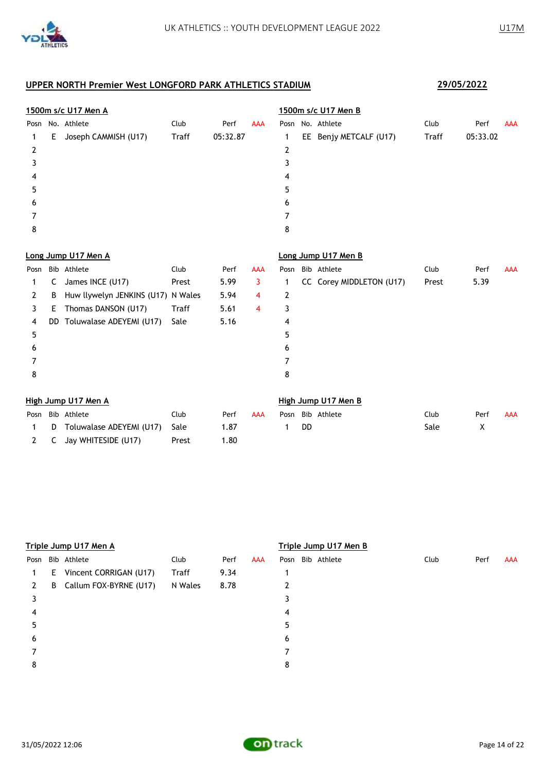

2 C Jay WHITESIDE (U17) Prest 1.80

|      |    | 1500m s/c U17 Men A                |              |          |            |      |    | 1500m s/c U17 Men B      |              |          |            |
|------|----|------------------------------------|--------------|----------|------------|------|----|--------------------------|--------------|----------|------------|
| Posn |    | No. Athlete                        | Club         | Perf     | <b>AAA</b> | Posn |    | No. Athlete              | Club         | Perf     | <b>AAA</b> |
| 1    | E  | Joseph CAMMISH (U17)               | <b>Traff</b> | 05:32.87 |            | 1    |    | EE Benjy METCALF (U17)   | <b>Traff</b> | 05:33.02 |            |
| 2    |    |                                    |              |          |            | 2    |    |                          |              |          |            |
| 3    |    |                                    |              |          |            | 3    |    |                          |              |          |            |
| 4    |    |                                    |              |          |            | 4    |    |                          |              |          |            |
| 5    |    |                                    |              |          |            | 5    |    |                          |              |          |            |
| 6    |    |                                    |              |          |            | 6    |    |                          |              |          |            |
| 7    |    |                                    |              |          |            | 7    |    |                          |              |          |            |
| 8    |    |                                    |              |          |            | 8    |    |                          |              |          |            |
|      |    | Long Jump U17 Men A                |              |          |            |      |    | Long Jump U17 Men B      |              |          |            |
| Posn |    | Bib Athlete                        | Club         | Perf     | <b>AAA</b> | Posn |    | Bib Athlete              | Club         | Perf     | <b>AAA</b> |
| 1    | C  | James INCE (U17)                   | Prest        | 5.99     | 3          | 1    |    | CC Corey MIDDLETON (U17) | Prest        | 5.39     |            |
| 2    | B  | Huw llywelyn JENKINS (U17) N Wales |              | 5.94     | 4          | 2    |    |                          |              |          |            |
| 3    | E. | Thomas DANSON (U17)                | <b>Traff</b> | 5.61     | 4          | 3    |    |                          |              |          |            |
| 4    | DD | Toluwalase ADEYEMI (U17)           | Sale         | 5.16     |            | 4    |    |                          |              |          |            |
| 5    |    |                                    |              |          |            | 5    |    |                          |              |          |            |
| 6    |    |                                    |              |          |            | 6    |    |                          |              |          |            |
| 7    |    |                                    |              |          |            | 7    |    |                          |              |          |            |
| 8    |    |                                    |              |          |            | 8    |    |                          |              |          |            |
|      |    | High Jump U17 Men A                |              |          |            |      |    | High Jump U17 Men B      |              |          |            |
| Posn |    | Bib Athlete                        | Club         | Perf     | <b>AAA</b> | Posn |    | Bib Athlete              | Club         | Perf     | <b>AAA</b> |
| 1    | D  | Toluwalase ADEYEMI (U17)           | Sale         | 1.87     |            | 1    | DD |                          | Sale         | Χ        |            |

|      |   | Triple Jump U17 Men A    |              |      |     |   | Triple Jump U17 Men B |      |      |     |
|------|---|--------------------------|--------------|------|-----|---|-----------------------|------|------|-----|
| Posn |   | Bib Athlete              | Club         | Perf | AAA |   | Posn Bib Athlete      | Club | Perf | AAA |
|      |   | E Vincent CORRIGAN (U17) | <b>Traff</b> | 9.34 |     |   |                       |      |      |     |
| 2    | B | Callum FOX-BYRNE (U17)   | N Wales      | 8.78 |     | 2 |                       |      |      |     |
| 3    |   |                          |              |      |     |   |                       |      |      |     |
| 4    |   |                          |              |      |     | 4 |                       |      |      |     |
| 5    |   |                          |              |      |     | 5 |                       |      |      |     |
| 6    |   |                          |              |      |     | 6 |                       |      |      |     |
|      |   |                          |              |      |     |   |                       |      |      |     |
| 8    |   |                          |              |      |     | 8 |                       |      |      |     |
|      |   |                          |              |      |     |   |                       |      |      |     |

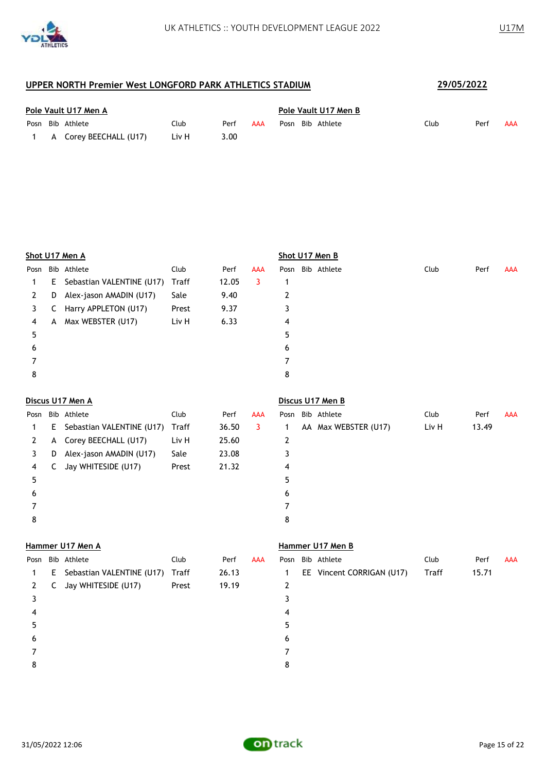

| Pole Vault U17 Men A |  |                          |       |      |            | Pole Vault U17 Men B |  |                  |      |      |     |  |
|----------------------|--|--------------------------|-------|------|------------|----------------------|--|------------------|------|------|-----|--|
|                      |  | Posn Bib Athlete         | Club  | Perf | <b>AAA</b> |                      |  | Posn Bib Athlete | Club | Perf | AAA |  |
|                      |  | 1 A Corey BEECHALL (U17) | Liv H | 3.00 |            |                      |  |                  |      |      |     |  |

|      |    | Shot U17 Men A            |       |       |            |   | Shot U17 Men B   |      |      |            |
|------|----|---------------------------|-------|-------|------------|---|------------------|------|------|------------|
| Posn |    | Bib Athlete               | Club  | Perf  | <b>AAA</b> |   | Posn Bib Athlete | Club | Perf | <b>AAA</b> |
| 1    | E. | Sebastian VALENTINE (U17) | Traff | 12.05 | 3          | 1 |                  |      |      |            |
| 2    | D  | Alex-jason AMADIN (U17)   | Sale  | 9.40  |            | 2 |                  |      |      |            |
| 3    | C  | Harry APPLETON (U17)      | Prest | 9.37  |            | 3 |                  |      |      |            |
| 4    | A  | Max WEBSTER (U17)         | Liv H | 6.33  |            | 4 |                  |      |      |            |
| 5    |    |                           |       |       |            | 5 |                  |      |      |            |
| 6    |    |                           |       |       |            | 6 |                  |      |      |            |
|      |    |                           |       |       |            |   |                  |      |      |            |
| 8    |    |                           |       |       |            | 8 |                  |      |      |            |
|      |    |                           |       |       |            |   |                  |      |      |            |

| Discus U17 Men A |  |  |
|------------------|--|--|
|                  |  |  |

|      | Discus U17 Men A |                           |       |       |     |   | Discus U17 Men B     |       |       |            |
|------|------------------|---------------------------|-------|-------|-----|---|----------------------|-------|-------|------------|
| Posn |                  | Bib Athlete               | Club  | Perf  | AAA |   | Posn Bib Athlete     | Club  | Perf  | <b>AAA</b> |
|      | E.               | Sebastian VALENTINE (U17) | Traff | 36.50 | 3   |   | AA Max WEBSTER (U17) | Liv H | 13.49 |            |
|      |                  | A Corey BEECHALL (U17)    | Liv H | 25.60 |     | 2 |                      |       |       |            |
| 3.   | D                | Alex-jason AMADIN (U17)   | Sale  | 23.08 |     | 3 |                      |       |       |            |
| 4    | C                | Jay WHITESIDE (U17)       | Prest | 21.32 |     | 4 |                      |       |       |            |
| 5    |                  |                           |       |       |     | 5 |                      |       |       |            |
| 6    |                  |                           |       |       |     | 6 |                      |       |       |            |
|      |                  |                           |       |       |     |   |                      |       |       |            |
| 8    |                  |                           |       |       |     | 8 |                      |       |       |            |

#### **Hammer U17 Men A Hammer U17 Men B**

| Posn |   | Bib Athlete                 | Club  | Perf  | <b>AAA</b> |    | Posn Bib Athlete          | Club  | Perf  | <b>AAA</b> |
|------|---|-----------------------------|-------|-------|------------|----|---------------------------|-------|-------|------------|
| 1    |   | E Sebastian VALENTINE (U17) | Traff | 26.13 |            | 1  | EE Vincent CORRIGAN (U17) | Traff | 15.71 |            |
| 2    | C | Jay WHITESIDE (U17)         | Prest | 19.19 |            | 2  |                           |       |       |            |
|      |   |                             |       |       |            |    |                           |       |       |            |
| 4    |   |                             |       |       |            | 4  |                           |       |       |            |
|      |   |                             |       |       |            | 5. |                           |       |       |            |
| 6    |   |                             |       |       |            | 6  |                           |       |       |            |
|      |   |                             |       |       |            |    |                           |       |       |            |
| 8    |   |                             |       |       |            | 8  |                           |       |       |            |

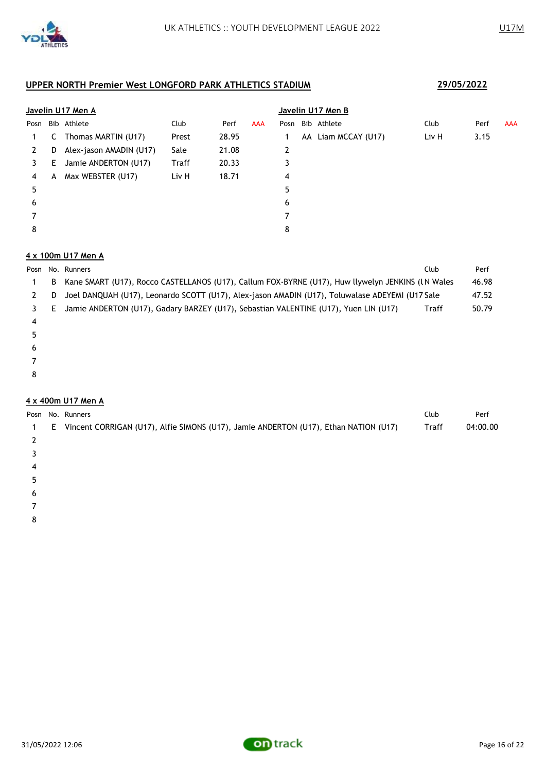|      |    | Javelin U17 Men A       |       |       |            |   |    | Javelin U17 Men B |       |      |            |
|------|----|-------------------------|-------|-------|------------|---|----|-------------------|-------|------|------------|
| Posn |    | Bib Athlete             | Club  | Perf  | <b>AAA</b> |   |    | Posn Bib Athlete  | Club  | Perf | <b>AAA</b> |
|      | C  | Thomas MARTIN (U17)     | Prest | 28.95 |            |   | AA | Liam MCCAY (U17)  | Liv H | 3.15 |            |
| 2    | D  | Alex-jason AMADIN (U17) | Sale  | 21.08 |            | 2 |    |                   |       |      |            |
| 3    | E. | Jamie ANDERTON (U17)    | Traff | 20.33 |            | 3 |    |                   |       |      |            |
| 4    | A  | Max WEBSTER (U17)       | Liv H | 18.71 |            | 4 |    |                   |       |      |            |
| 5    |    |                         |       |       |            | 5 |    |                   |       |      |            |
| 6    |    |                         |       |       |            | 6 |    |                   |       |      |            |
|      |    |                         |       |       |            |   |    |                   |       |      |            |
| 8    |    |                         |       |       |            | 8 |    |                   |       |      |            |

### **4 x 100m U17 Men A**

|  | Posn No. Runners                                                                                    | Club  | Perf  |
|--|-----------------------------------------------------------------------------------------------------|-------|-------|
|  | B Kane SMART (U17), Rocco CASTELLANOS (U17), Callum FOX-BYRNE (U17), Huw llywelyn JENKINS (LN Wales |       | 46.98 |
|  | D Joel DANQUAH (U17), Leonardo SCOTT (U17), Alex-jason AMADIN (U17), Toluwalase ADEYEMI (U17 Sale   |       | 47.52 |
|  | 3 E Jamie ANDERTON (U17), Gadary BARZEY (U17), Sebastian VALENTINE (U17), Yuen LIN (U17)            | Traff | 50.79 |
|  |                                                                                                     |       |       |

- 
- 
- 
- 
- 

### **4 x 400m U17 Men A**

|   |    | Posn No. Runners                                                                     | Club         | Perf     |
|---|----|--------------------------------------------------------------------------------------|--------------|----------|
| 1 | E. | Vincent CORRIGAN (U17), Alfie SIMONS (U17), Jamie ANDERTON (U17), Ethan NATION (U17) | <b>Traff</b> | 04:00.00 |
|   |    |                                                                                      |              |          |
|   |    |                                                                                      |              |          |
| 4 |    |                                                                                      |              |          |
|   |    |                                                                                      |              |          |
| 6 |    |                                                                                      |              |          |
|   |    |                                                                                      |              |          |

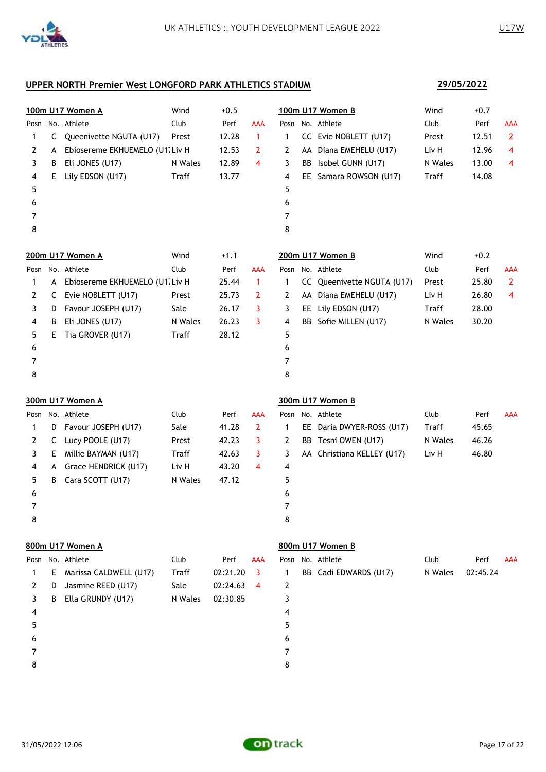

**29/05/2022**

### **UPPER NORTH Premier West LONGFORD PARK ATHLETICS STADIUM**

|      |    | 100m U17 Women A                | Wind    | $+0.5$   |              |   |    | 100m U17 Women B           | Wind    | $+0.7$   |                |
|------|----|---------------------------------|---------|----------|--------------|---|----|----------------------------|---------|----------|----------------|
|      |    | Posn No. Athlete                | Club    | Perf     | AAA          |   |    | Posn No. Athlete           | Club    | Perf     | <b>AAA</b>     |
| 1    | C  | Queenivette NGUTA (U17)         | Prest   | 12.28    | 1            | 1 |    | CC Evie NOBLETT (U17)      | Prest   | 12.51    | $\overline{2}$ |
| 2    | A  | Ebiosereme EKHUEMELO (U1. Liv H |         | 12.53    | 2            | 2 |    | AA Diana EMEHELU (U17)     | Liv H   | 12.96    | 4              |
| 3    | B  | Eli JONES (U17)                 | N Wales | 12.89    | 4            | 3 | BB | Isobel GUNN (U17)          | N Wales | 13.00    | 4              |
| 4    | E  | Lily EDSON (U17)                | Traff   | 13.77    |              | 4 |    | EE Samara ROWSON (U17)     | Traff   | 14.08    |                |
| 5    |    |                                 |         |          |              | 5 |    |                            |         |          |                |
| 6    |    |                                 |         |          |              | 6 |    |                            |         |          |                |
| 7    |    |                                 |         |          |              | 7 |    |                            |         |          |                |
| 8    |    |                                 |         |          |              | 8 |    |                            |         |          |                |
|      |    | 200m U17 Women A                | Wind    | $+1.1$   |              |   |    | 200m U17 Women B           | Wind    | $+0.2$   |                |
|      |    | Posn No. Athlete                | Club    | Perf     | AAA          |   |    | Posn No. Athlete           | Club    | Perf     | <b>AAA</b>     |
| 1    | A  | Ebiosereme EKHUEMELO (U1. Liv H |         | 25.44    | $\mathbf{1}$ | 1 | CC | Queenivette NGUTA (U17)    | Prest   | 25.80    | $\overline{2}$ |
| 2    | C  | Evie NOBLETT (U17)              | Prest   | 25.73    | 2            | 2 |    | AA Diana EMEHELU (U17)     | Liv H   | 26.80    | 4              |
| 3    | D  | Favour JOSEPH (U17)             | Sale    | 26.17    | 3            | 3 |    | EE Lily EDSON (U17)        | Traff   | 28.00    |                |
| 4    | B  | Eli JONES (U17)                 | N Wales | 26.23    | 3            | 4 | BB | Sofie MILLEN (U17)         | N Wales | 30.20    |                |
| 5    | E. | Tia GROVER (U17)                | Traff   | 28.12    |              | 5 |    |                            |         |          |                |
| 6    |    |                                 |         |          |              | 6 |    |                            |         |          |                |
| 7    |    |                                 |         |          |              | 7 |    |                            |         |          |                |
| 8    |    |                                 |         |          |              | 8 |    |                            |         |          |                |
|      |    | 300m U17 Women A                |         |          |              |   |    | 300m U17 Women B           |         |          |                |
| Posn |    | No. Athlete                     | Club    | Perf     | AAA          |   |    | Posn No. Athlete           | Club    | Perf     | <b>AAA</b>     |
| 1    | D  | Favour JOSEPH (U17)             | Sale    | 41.28    | $\mathbf{2}$ | 1 |    | EE Daria DWYER-ROSS (U17)  | Traff   | 45.65    |                |
| 2    | C  | Lucy POOLE (U17)                | Prest   | 42.23    | 3            | 2 | BB | Tesni OWEN (U17)           | N Wales | 46.26    |                |
| 3    | E  | Millie BAYMAN (U17)             | Traff   | 42.63    | 3            | 3 |    | AA Christiana KELLEY (U17) | Liv H   | 46.80    |                |
| 4    | A  | Grace HENDRICK (U17)            | Liv H   | 43.20    | 4            | 4 |    |                            |         |          |                |
| 5    | В  | Cara SCOTT (U17)                | N Wales | 47.12    |              | 5 |    |                            |         |          |                |
| 6    |    |                                 |         |          |              | 6 |    |                            |         |          |                |
| 7    |    |                                 |         |          |              | 7 |    |                            |         |          |                |
| 8    |    |                                 |         |          |              | 8 |    |                            |         |          |                |
|      |    | 800m U17 Women A                |         |          |              |   |    | 800m U17 Women B           |         |          |                |
|      |    | Posn No. Athlete                | Club    | Perf     | AAA          |   |    | Posn No. Athlete           | Club    | Perf     | AAA            |
| 1    | E  | Marissa CALDWELL (U17)          | Traff   | 02:21.20 | 3            | 1 |    | BB Cadi EDWARDS (U17)      | N Wales | 02:45.24 |                |
| 2    | D  | Jasmine REED (U17)              | Sale    | 02:24.63 | 4            | 2 |    |                            |         |          |                |
| 3    | В  | Ella GRUNDY (U17)               | N Wales | 02:30.85 |              | 3 |    |                            |         |          |                |
| 4    |    |                                 |         |          |              | 4 |    |                            |         |          |                |
| 5    |    |                                 |         |          |              | 5 |    |                            |         |          |                |

- 
- 
- 7
- 8

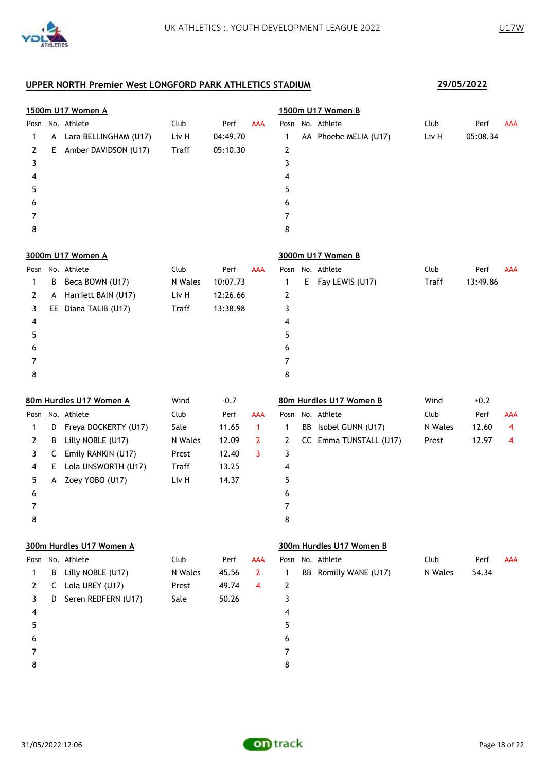

|      |    | 1500m U17 Women A        |         |          |                |   | 1500m U17 Women B        |         |          |                |
|------|----|--------------------------|---------|----------|----------------|---|--------------------------|---------|----------|----------------|
|      |    | Posn No. Athlete         | Club    | Perf     | <b>AAA</b>     |   | Posn No. Athlete         | Club    | Perf     | AAA            |
| 1    | A  | Lara BELLINGHAM (U17)    | Liv H   | 04:49.70 |                | 1 | AA Phoebe MELIA (U17)    | Liv H   | 05:08.34 |                |
| 2    | E. | Amber DAVIDSON (U17)     | Traff   | 05:10.30 |                | 2 |                          |         |          |                |
| 3    |    |                          |         |          |                | 3 |                          |         |          |                |
| 4    |    |                          |         |          |                | 4 |                          |         |          |                |
| 5    |    |                          |         |          |                | 5 |                          |         |          |                |
| 6    |    |                          |         |          |                | 6 |                          |         |          |                |
| 7    |    |                          |         |          |                | 7 |                          |         |          |                |
| 8    |    |                          |         |          |                | 8 |                          |         |          |                |
|      |    | 3000m U17 Women A        |         |          |                |   | 3000m U17 Women B        |         |          |                |
|      |    | Posn No. Athlete         | Club    | Perf     | AAA            |   | Posn No. Athlete         | Club    | Perf     | AAA            |
| 1    | В  | Beca BOWN (U17)          | N Wales | 10:07.73 |                | 1 | E Fay LEWIS (U17)        | Traff   | 13:49.86 |                |
| 2    | A  | Harriett BAIN (U17)      | Liv H   | 12:26.66 |                | 2 |                          |         |          |                |
| 3    |    | EE Diana TALIB (U17)     | Traff   | 13:38.98 |                | 3 |                          |         |          |                |
| 4    |    |                          |         |          |                | 4 |                          |         |          |                |
| 5    |    |                          |         |          |                | 5 |                          |         |          |                |
| 6    |    |                          |         |          |                | 6 |                          |         |          |                |
| 7    |    |                          |         |          |                | 7 |                          |         |          |                |
| 8    |    |                          |         |          |                | 8 |                          |         |          |                |
|      |    | 80m Hurdles U17 Women A  | Wind    | $-0.7$   |                |   | 80m Hurdles U17 Women B  | Wind    | $+0.2$   |                |
|      |    | Posn No. Athlete         | Club    | Perf     | AAA            |   | Posn No. Athlete         | Club    | Perf     | <b>AAA</b>     |
| 1    | D  | Freya DOCKERTY (U17)     | Sale    | 11.65    | $\mathbf{1}$   | 1 | BB Isobel GUNN (U17)     | N Wales | 12.60    | $\overline{4}$ |
| 2    | B  | Lilly NOBLE (U17)        | N Wales | 12.09    | $\mathbf{2}$   | 2 | CC Emma TUNSTALL (U17)   | Prest   | 12.97    | 4              |
| 3    | C  | Emily RANKIN (U17)       | Prest   | 12.40    | 3              | 3 |                          |         |          |                |
| 4    | E. | Lola UNSWORTH (U17)      | Traff   | 13.25    |                | 4 |                          |         |          |                |
| 5    | A  | Zoey YOBO (U17)          | Liv H   | 14.37    |                | 5 |                          |         |          |                |
| 6    |    |                          |         |          |                | 6 |                          |         |          |                |
| 7    |    |                          |         |          |                | 7 |                          |         |          |                |
| 8    |    |                          |         |          |                | 8 |                          |         |          |                |
|      |    | 300m Hurdles U17 Women A |         |          |                |   | 300m Hurdles U17 Women B |         |          |                |
| Posn |    | No. Athlete              | Club    | Perf     | AAA            |   | Posn No. Athlete         | Club    | Perf     | AAA            |
| 1    | В  | Lilly NOBLE (U17)        | N Wales | 45.56    | $\overline{2}$ | 1 | BB Romilly WANE (U17)    | N Wales | 54.34    |                |
| 2    | C  | Lola UREY (U17)          | Prest   | 49.74    | 4              | 2 |                          |         |          |                |
| 3    | D  | Seren REDFERN (U17)      | Sale    | 50.26    |                | 3 |                          |         |          |                |
| 4    |    |                          |         |          |                | 4 |                          |         |          |                |
| 5    |    |                          |         |          |                | 5 |                          |         |          |                |
| 6    |    |                          |         |          |                | 6 |                          |         |          |                |
| 7    |    |                          |         |          |                | 7 |                          |         |          |                |
| 8    |    |                          |         |          |                | 8 |                          |         |          |                |

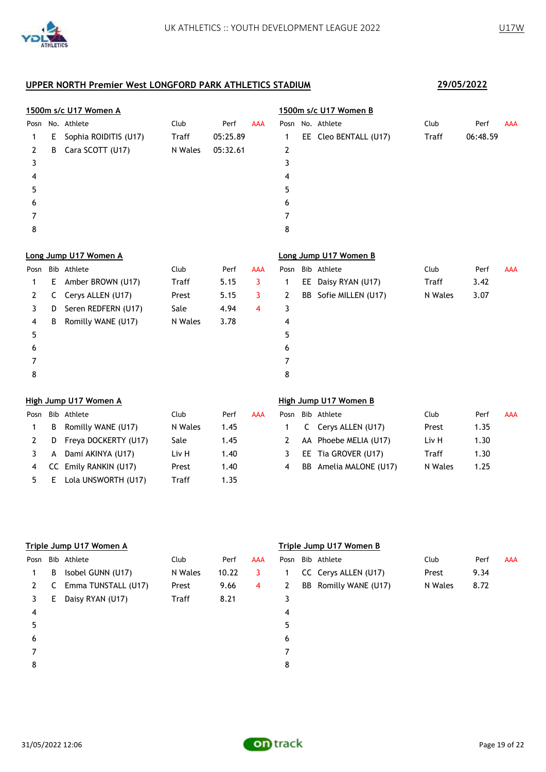

|      |    | 1500m s/c U17 Women A |         |          |            |      |    | 1500m s/c U17 Women B |         |          |            |
|------|----|-----------------------|---------|----------|------------|------|----|-----------------------|---------|----------|------------|
| Posn |    | No. Athlete           | Club    | Perf     | <b>AAA</b> | Posn |    | No. Athlete           | Club    | Perf     | <b>AAA</b> |
| 1    | E. | Sophia ROIDITIS (U17) | Traff   | 05:25.89 |            | 1    |    | EE Cleo BENTALL (U17) | Traff   | 06:48.59 |            |
| 2    | B  | Cara SCOTT (U17)      | N Wales | 05:32.61 |            | 2    |    |                       |         |          |            |
| 3    |    |                       |         |          |            | 3    |    |                       |         |          |            |
| 4    |    |                       |         |          |            | 4    |    |                       |         |          |            |
| 5    |    |                       |         |          |            | 5    |    |                       |         |          |            |
| 6    |    |                       |         |          |            | 6    |    |                       |         |          |            |
| 7    |    |                       |         |          |            | 7    |    |                       |         |          |            |
| 8    |    |                       |         |          |            | 8    |    |                       |         |          |            |
|      |    | Long Jump U17 Women A |         |          |            |      |    | Long Jump U17 Women B |         |          |            |
| Posn |    | Bib Athlete           | Club    | Perf     | <b>AAA</b> | Posn |    | Bib Athlete           | Club    | Perf     | <b>AAA</b> |
| 1    | E. | Amber BROWN (U17)     | Traff   | 5.15     | 3          | 1    |    | EE Daisy RYAN (U17)   | Traff   | 3.42     |            |
| 2    | C  | Cerys ALLEN (U17)     | Prest   | 5.15     | 3          | 2    | BB | Sofie MILLEN (U17)    | N Wales | 3.07     |            |
| 3    | D  | Seren REDFERN (U17)   | Sale    | 4.94     | 4          | 3    |    |                       |         |          |            |
| 4    | B  | Romilly WANE (U17)    | N Wales | 3.78     |            | 4    |    |                       |         |          |            |
| 5    |    |                       |         |          |            | 5    |    |                       |         |          |            |
| 6    |    |                       |         |          |            | 6    |    |                       |         |          |            |
| 7    |    |                       |         |          |            | 7    |    |                       |         |          |            |
| 8    |    |                       |         |          |            | 8    |    |                       |         |          |            |
|      |    | High Jump U17 Women A |         |          |            |      |    | High Jump U17 Women B |         |          |            |
| Posn |    | Bib Athlete           | Club    | Perf     | <b>AAA</b> | Posn |    | Bib Athlete           | Club    | Perf     | <b>AAA</b> |
| 1    | B  | Romilly WANE (U17)    | N Wales | 1.45     |            | 1    | C. | Cerys ALLEN (U17)     | Prest   | 1.35     |            |
| 2    | D  | Freya DOCKERTY (U17)  | Sale    | 1.45     |            | 2    |    | AA Phoebe MELIA (U17) | Liv H   | 1.30     |            |

3 A Dami AKINYA (U17) Liv H 1.40 4 CC Emily RANKIN (U17) Prest 1.40 5 E Lola UNSWORTH (U17) Traff 1.35

|              | Posn Bib Athlete       | Club    | Perf | AAA |
|--------------|------------------------|---------|------|-----|
| $\mathbf{1}$ | C Cerys ALLEN (U17)    | Prest   | 1.35 |     |
| <sup>2</sup> | AA Phoebe MELIA (U17)  | Liv H   | 1.30 |     |
| 3            | EE Tia GROVER (U17)    | Traff   | 1.30 |     |
| 4            | BB Amelia MALONE (U17) | N Wales | 1.25 |     |

|      | Triple Jump U17 Women A |                     |         |       |            |      |  | Triple Jump U17 Women B |         |      |            |  |  |  |
|------|-------------------------|---------------------|---------|-------|------------|------|--|-------------------------|---------|------|------------|--|--|--|
| Posn |                         | Bib Athlete         | Club    | Perf  | <b>AAA</b> | Posn |  | Bib Athlete             | Club    | Perf | <b>AAA</b> |  |  |  |
| 1.   | B                       | Isobel GUNN (U17)   | N Wales | 10.22 | 3          |      |  | CC Cerys ALLEN (U17)    | Prest   | 9.34 |            |  |  |  |
| 2    | C                       | Emma TUNSTALL (U17) | Prest   | 9.66  | 4          | 2    |  | BB Romilly WANE (U17)   | N Wales | 8.72 |            |  |  |  |
| 3    | E.                      | Daisy RYAN (U17)    | Traff   | 8.21  |            | 3    |  |                         |         |      |            |  |  |  |
| 4    |                         |                     |         |       |            | 4    |  |                         |         |      |            |  |  |  |
| 5    |                         |                     |         |       |            | 5    |  |                         |         |      |            |  |  |  |
| 6    |                         |                     |         |       |            | 6    |  |                         |         |      |            |  |  |  |
|      |                         |                     |         |       |            | 7    |  |                         |         |      |            |  |  |  |
| 8    |                         |                     |         |       |            | 8    |  |                         |         |      |            |  |  |  |

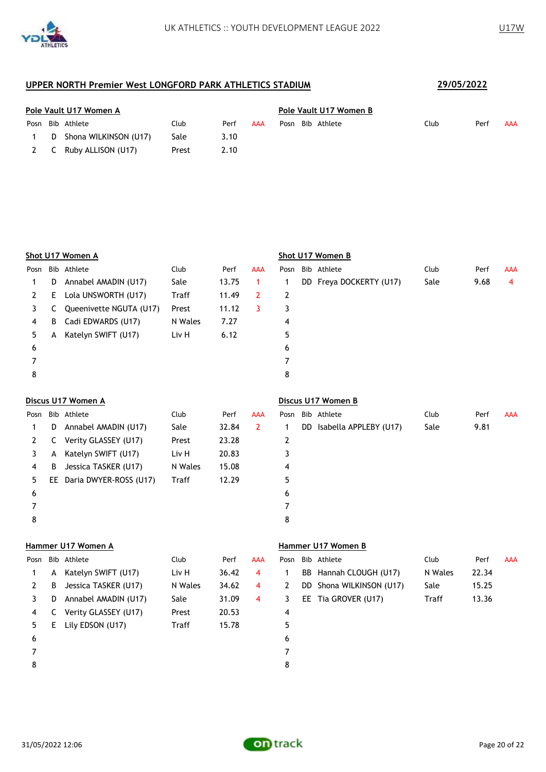

|  | Pole Vault U17 Women A  |       |      | Pole Vault U17 Women B |                  |      |      |     |  |  |
|--|-------------------------|-------|------|------------------------|------------------|------|------|-----|--|--|
|  | Posn Bib Athlete        | Club  | Perf | AAA                    | Posn Bib Athlete | Club | Perf | AAA |  |  |
|  | D Shona WILKINSON (U17) | Sale  | 3.10 |                        |                  |      |      |     |  |  |
|  | 2 C Ruby ALLISON (U17)  | Prest | 2.10 |                        |                  |      |      |     |  |  |

|      |    | Shot U17 Women A        |              |       |            | Shot U17 Women B |  |                         |      |      |            |  |  |
|------|----|-------------------------|--------------|-------|------------|------------------|--|-------------------------|------|------|------------|--|--|
| Posn |    | Bib Athlete             | Club         | Perf  | <b>AAA</b> | Posn             |  | Bib Athlete             | Club | Perf | <b>AAA</b> |  |  |
|      | D. | Annabel AMADIN (U17)    | Sale         | 13.75 |            |                  |  | DD Freya DOCKERTY (U17) | Sale | 9.68 | 4          |  |  |
| 2    | E. | Lola UNSWORTH (U17)     | <b>Traff</b> | 11.49 | 2          | 2                |  |                         |      |      |            |  |  |
| 3    | C. | Queenivette NGUTA (U17) | Prest        | 11.12 | 3          | 3                |  |                         |      |      |            |  |  |
| 4    | B  | Cadi EDWARDS (U17)      | N Wales      | 7.27  |            | 4                |  |                         |      |      |            |  |  |
| 5.   | A  | Katelyn SWIFT (U17)     | Liv H        | 6.12  |            | 5                |  |                         |      |      |            |  |  |
| 6    |    |                         |              |       |            | 6                |  |                         |      |      |            |  |  |
|      |    |                         |              |       |            | 7                |  |                         |      |      |            |  |  |
| 8    |    |                         |              |       |            | 8                |  |                         |      |      |            |  |  |
|      |    |                         |              |       |            |                  |  |                         |      |      |            |  |  |

## **Discus U17 Women A Discus U17 Women B** Posn Bib Athlete Club Perf AAA Posn Bib Athlete Club Perf AAA 1 D Annabel AMADIN (U17) Sale 32.84 2 1 DD Isabella APPLEBY (U17) Sale 9.81 2 C Verity GLASSEY (U17) Prest 23.28 2 3 A Katelyn SWIFT (U17) Liv H 20.83 3 4 B Jessica TASKER (U17) N Wales 15.08 4 5 EE Daria DWYER-ROSS (U17) Traff 12.29 5  $6$ 7 7 8 8

#### **Hammer U17 Women A Hammer U17 Women B**

| Posn |    | Bib Athlete          | Club         | Perf  | <b>AAA</b> |   | Posn Bib Athlete         | Club         | Perf  | AAA |
|------|----|----------------------|--------------|-------|------------|---|--------------------------|--------------|-------|-----|
|      | A  | Katelyn SWIFT (U17)  | Liv H        | 36.42 | 4          |   | BB Hannah CLOUGH (U17)   | N Wales      | 22.34 |     |
|      | B  | Jessica TASKER (U17) | N Wales      | 34.62 | 4          | 2 | DD Shona WILKINSON (U17) | Sale         | 15.25 |     |
|      | D  | Annabel AMADIN (U17) | Sale         | 31.09 | 4          | 3 | EE Tia GROVER (U17)      | <b>Traff</b> | 13.36 |     |
| 4    | C. | Verity GLASSEY (U17) | Prest        | 20.53 |            | 4 |                          |              |       |     |
| 5.   | E. | Lily EDSON (U17)     | <b>Traff</b> | 15.78 |            | 5 |                          |              |       |     |
| 6    |    |                      |              |       |            | 6 |                          |              |       |     |
|      |    |                      |              |       |            |   |                          |              |       |     |
| 8    |    |                      |              |       |            | 8 |                          |              |       |     |
|      |    |                      |              |       |            |   |                          |              |       |     |

|   | Posn Bib Athlete         | Club    | Perf  | AAA |
|---|--------------------------|---------|-------|-----|
|   | BB Hannah CLOUGH (U17)   | N Wales | 22.34 |     |
|   | DD Shona WILKINSON (U17) | Sale    | 15.25 |     |
| 3 | EE Tia GROVER (U17)      | Traff   | 13.36 |     |
| 4 |                          |         |       |     |
| 5 |                          |         |       |     |
|   |                          |         |       |     |

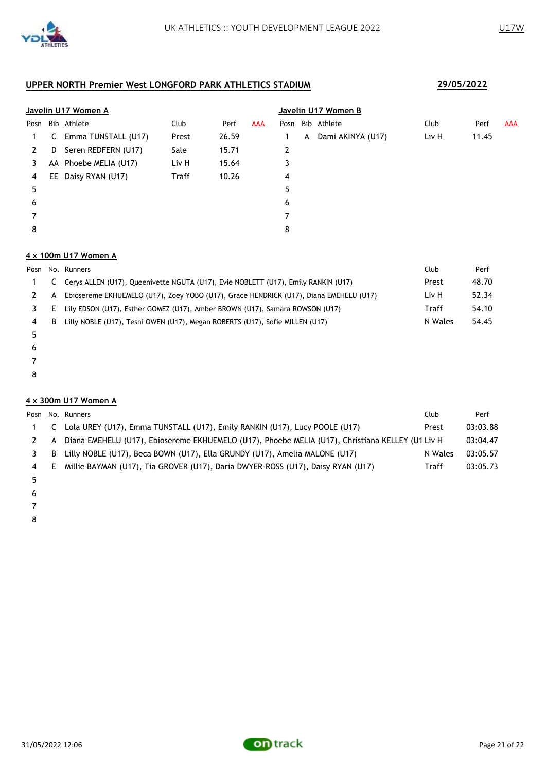

|      | Javelin U17 Women A |                       |              |       |            |      |   | Javelin U17 Women B |       |       |            |  |  |  |
|------|---------------------|-----------------------|--------------|-------|------------|------|---|---------------------|-------|-------|------------|--|--|--|
| Posn |                     | Bib Athlete           | Club         | Perf  | <b>AAA</b> | Posn |   | Bib Athlete         | Club  | Perf  | <b>AAA</b> |  |  |  |
| 1.   | C                   | Emma TUNSTALL (U17)   | Prest        | 26.59 |            |      | A | Dami AKINYA (U17)   | Liv H | 11.45 |            |  |  |  |
| 2    | D                   | Seren REDFERN (U17)   | Sale         | 15.71 |            | 2    |   |                     |       |       |            |  |  |  |
| 3    |                     | AA Phoebe MELIA (U17) | Liv H        | 15.64 |            | 3    |   |                     |       |       |            |  |  |  |
| 4    |                     | EE Daisy RYAN (U17)   | <b>Traff</b> | 10.26 |            | 4    |   |                     |       |       |            |  |  |  |
| 5    |                     |                       |              |       |            | 5    |   |                     |       |       |            |  |  |  |
| 6    |                     |                       |              |       |            | 6    |   |                     |       |       |            |  |  |  |
|      |                     |                       |              |       |            | 7    |   |                     |       |       |            |  |  |  |
| 8    |                     |                       |              |       |            | 8    |   |                     |       |       |            |  |  |  |

### **4 x 100m U17 Women A**

|    |    | Posn No. Runners                                                                       | Club    | Perf  |
|----|----|----------------------------------------------------------------------------------------|---------|-------|
|    |    | C Cerys ALLEN (U17), Queenivette NGUTA (U17), Evie NOBLETT (U17), Emily RANKIN (U17)   | Prest   | 48.70 |
|    | A  | Ebiosereme EKHUEMELO (U17), Zoey YOBO (U17), Grace HENDRICK (U17), Diana EMEHELU (U17) | Liv H   | 52.34 |
| 3. | E. | Lily EDSON (U17), Esther GOMEZ (U17), Amber BROWN (U17), Samara ROWSON (U17)           | Traff   | 54.10 |
| 4  | B  | Lilly NOBLE (U17), Tesni OWEN (U17), Megan ROBERTS (U17), Sofie MILLEN (U17)           | N Wales | 54.45 |
|    |    |                                                                                        |         |       |

- 
- 
- 
- 

### **4 x 300m U17 Women A**

|   |   | Posn No. Runners                                                                                 | Club    | Perf     |
|---|---|--------------------------------------------------------------------------------------------------|---------|----------|
|   |   | Lola UREY (U17), Emma TUNSTALL (U17), Emily RANKIN (U17), Lucy POOLE (U17)                       | Prest   | 03:03.88 |
|   | A | Diana EMEHELU (U17), Ebiosereme EKHUEMELO (U17), Phoebe MELIA (U17), Christiana KELLEY (U1 Liv H |         | 03:04.47 |
|   | B | Lilly NOBLE (U17), Beca BOWN (U17), Ella GRUNDY (U17), Amelia MALONE (U17)                       | N Wales | 03:05.57 |
| 4 | E | Millie BAYMAN (U17), Tia GROVER (U17), Daria DWYER-ROSS (U17), Daisy RYAN (U17)                  | Traff   | 03:05.73 |
|   |   |                                                                                                  |         |          |

- 
- 
- 
-